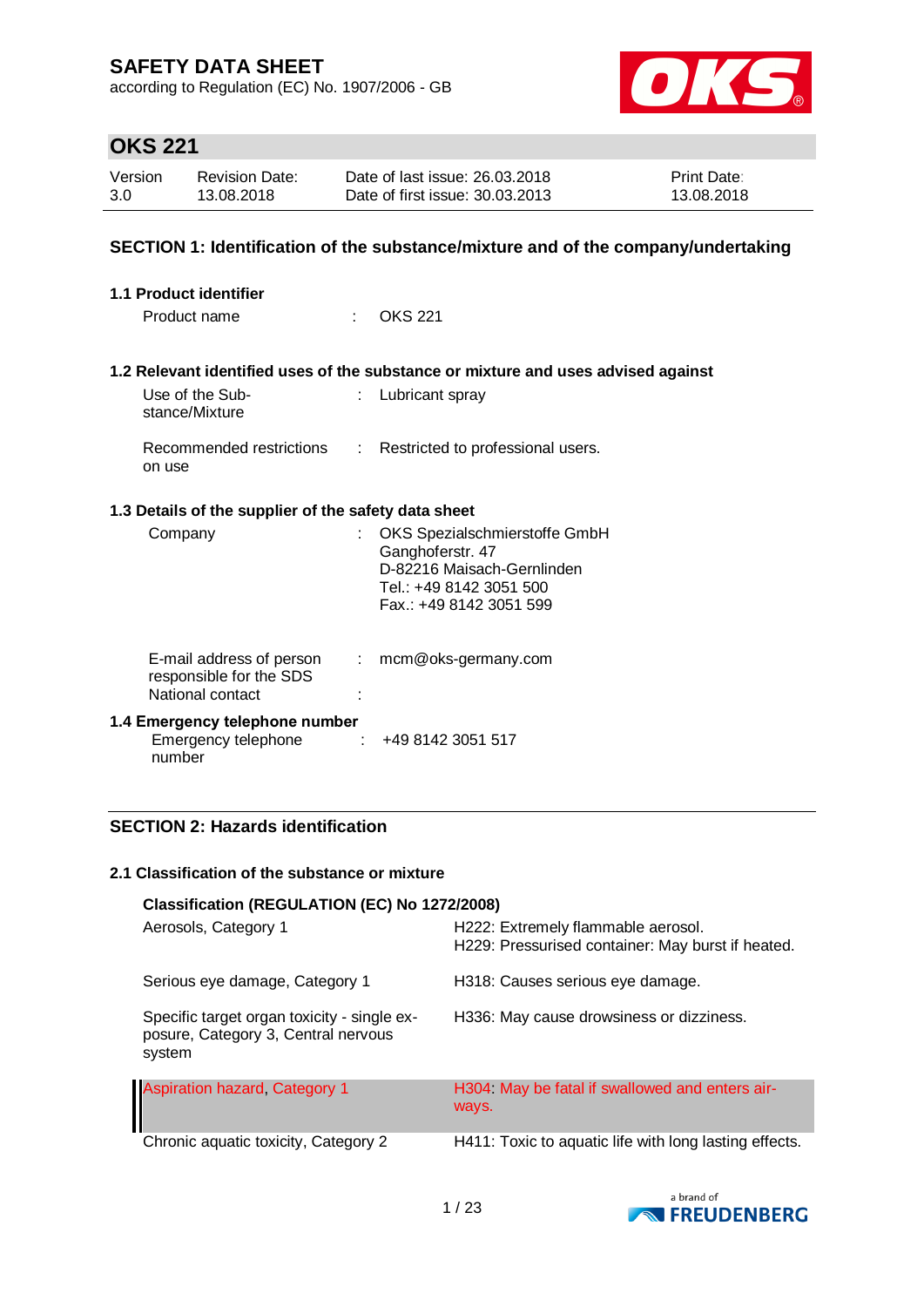according to Regulation (EC) No. 1907/2006 - GB



# **OKS 221**

| Version | <b>Revision Date:</b> | Date of last issue: 26.03.2018  | Print Date: |
|---------|-----------------------|---------------------------------|-------------|
| 3.0     | 13.08.2018            | Date of first issue: 30.03.2013 | 13.08.2018  |

### **SECTION 1: Identification of the substance/mixture and of the company/undertaking**

| <b>1.1 Product identifier</b>                                           |                           |                                                                                                                                       |  |  |
|-------------------------------------------------------------------------|---------------------------|---------------------------------------------------------------------------------------------------------------------------------------|--|--|
| Product name                                                            | t.                        | <b>OKS 221</b>                                                                                                                        |  |  |
|                                                                         |                           | 1.2 Relevant identified uses of the substance or mixture and uses advised against                                                     |  |  |
| Use of the Sub-<br>stance/Mixture                                       |                           | Lubricant spray                                                                                                                       |  |  |
| Recommended restrictions<br>on use                                      | $\mathbb{R}^n$            | Restricted to professional users.                                                                                                     |  |  |
| 1.3 Details of the supplier of the safety data sheet                    |                           |                                                                                                                                       |  |  |
| Company                                                                 | $\mathbb{R}^{\mathbb{Z}}$ | OKS Spezialschmierstoffe GmbH<br>Ganghoferstr. 47<br>D-82216 Maisach-Gernlinden<br>Tel.: +49 8142 3051 500<br>Fax.: +49 8142 3051 599 |  |  |
| E-mail address of person<br>responsible for the SDS<br>National contact | $\mathbb{R}^n$            | mcm@oks-germany.com                                                                                                                   |  |  |
| 1.4 Emergency telephone number<br>Emergency telephone<br>number         |                           | $\div$ +49 8142 3051 517                                                                                                              |  |  |

### **SECTION 2: Hazards identification**

#### **2.1 Classification of the substance or mixture**

| Classification (REGULATION (EC) No 1272/2008)                                                |                                                                                         |
|----------------------------------------------------------------------------------------------|-----------------------------------------------------------------------------------------|
| Aerosols, Category 1                                                                         | H222: Extremely flammable aerosol.<br>H229: Pressurised container: May burst if heated. |
| Serious eye damage, Category 1                                                               | H318: Causes serious eye damage.                                                        |
| Specific target organ toxicity - single ex-<br>posure, Category 3, Central nervous<br>system | H336: May cause drowsiness or dizziness.                                                |
| <b>Aspiration hazard, Category 1</b>                                                         | H304 May be fatal if swallowed and enters air-<br>ways.                                 |
| Chronic aquatic toxicity, Category 2                                                         | H411: Toxic to aquatic life with long lasting effects.                                  |

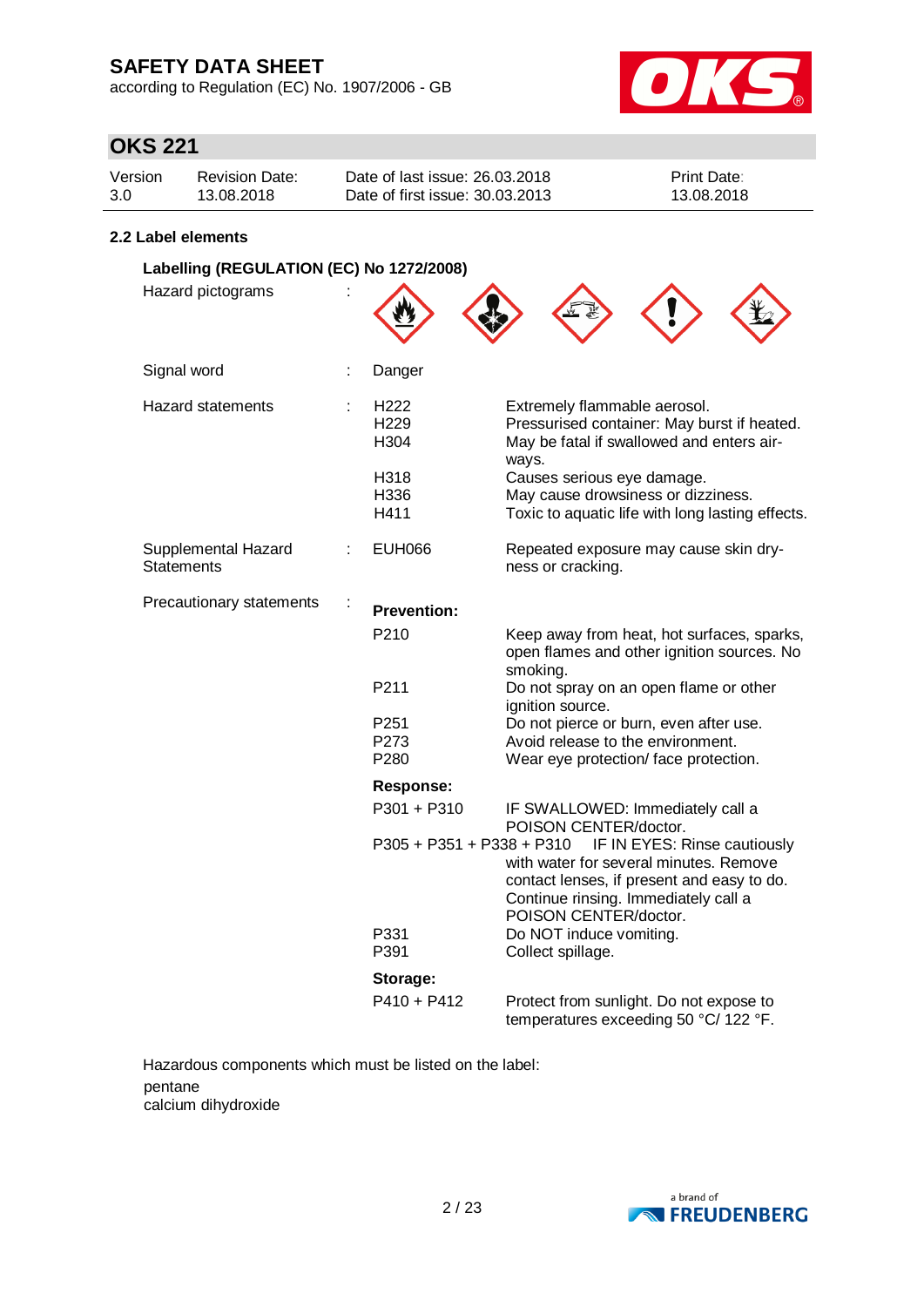according to Regulation (EC) No. 1907/2006 - GB



# **OKS 221**

| Version | <b>Revision Date:</b> | Date of last issue: 26,03,2018  | <b>Print Date:</b> |
|---------|-----------------------|---------------------------------|--------------------|
| 3.0     | 13.08.2018            | Date of first issue: 30.03.2013 | 13.08.2018         |

#### **2.2 Label elements**

| Labelling (REGULATION (EC) No 1272/2008) |   |                                  |                                                                                                                                                                                       |  |
|------------------------------------------|---|----------------------------------|---------------------------------------------------------------------------------------------------------------------------------------------------------------------------------------|--|
| Hazard pictograms                        |   |                                  |                                                                                                                                                                                       |  |
| Signal word<br>÷                         |   | Danger                           |                                                                                                                                                                                       |  |
| <b>Hazard statements</b>                 | ÷ | H222<br>H <sub>229</sub><br>H304 | Extremely flammable aerosol.<br>Pressurised container: May burst if heated.<br>May be fatal if swallowed and enters air-<br>ways.                                                     |  |
|                                          |   | H318<br>H336<br>H411             | Causes serious eye damage.<br>May cause drowsiness or dizziness.<br>Toxic to aquatic life with long lasting effects.                                                                  |  |
| Supplemental Hazard<br><b>Statements</b> |   | <b>EUH066</b>                    | Repeated exposure may cause skin dry-<br>ness or cracking.                                                                                                                            |  |
| Precautionary statements                 |   | <b>Prevention:</b>               |                                                                                                                                                                                       |  |
|                                          |   | P210                             | Keep away from heat, hot surfaces, sparks,<br>open flames and other ignition sources. No<br>smoking.                                                                                  |  |
|                                          |   | P211                             | Do not spray on an open flame or other<br>ignition source.                                                                                                                            |  |
|                                          |   | P251                             | Do not pierce or burn, even after use.                                                                                                                                                |  |
|                                          |   | P273                             | Avoid release to the environment.                                                                                                                                                     |  |
|                                          |   | P280                             | Wear eye protection/ face protection.                                                                                                                                                 |  |
|                                          |   | <b>Response:</b>                 |                                                                                                                                                                                       |  |
|                                          |   | P301 + P310                      | IF SWALLOWED: Immediately call a<br>POISON CENTER/doctor.                                                                                                                             |  |
|                                          |   | P305 + P351 + P338 + P310        | IF IN EYES: Rinse cautiously<br>with water for several minutes. Remove<br>contact lenses, if present and easy to do.<br>Continue rinsing. Immediately call a<br>POISON CENTER/doctor. |  |
|                                          |   | P331<br>P391                     | Do NOT induce vomiting.<br>Collect spillage.                                                                                                                                          |  |
|                                          |   | Storage:                         |                                                                                                                                                                                       |  |
|                                          |   | $P410 + P412$                    | Protect from sunlight. Do not expose to<br>temperatures exceeding 50 °C/ 122 °F.                                                                                                      |  |

Hazardous components which must be listed on the label: pentane calcium dihydroxide

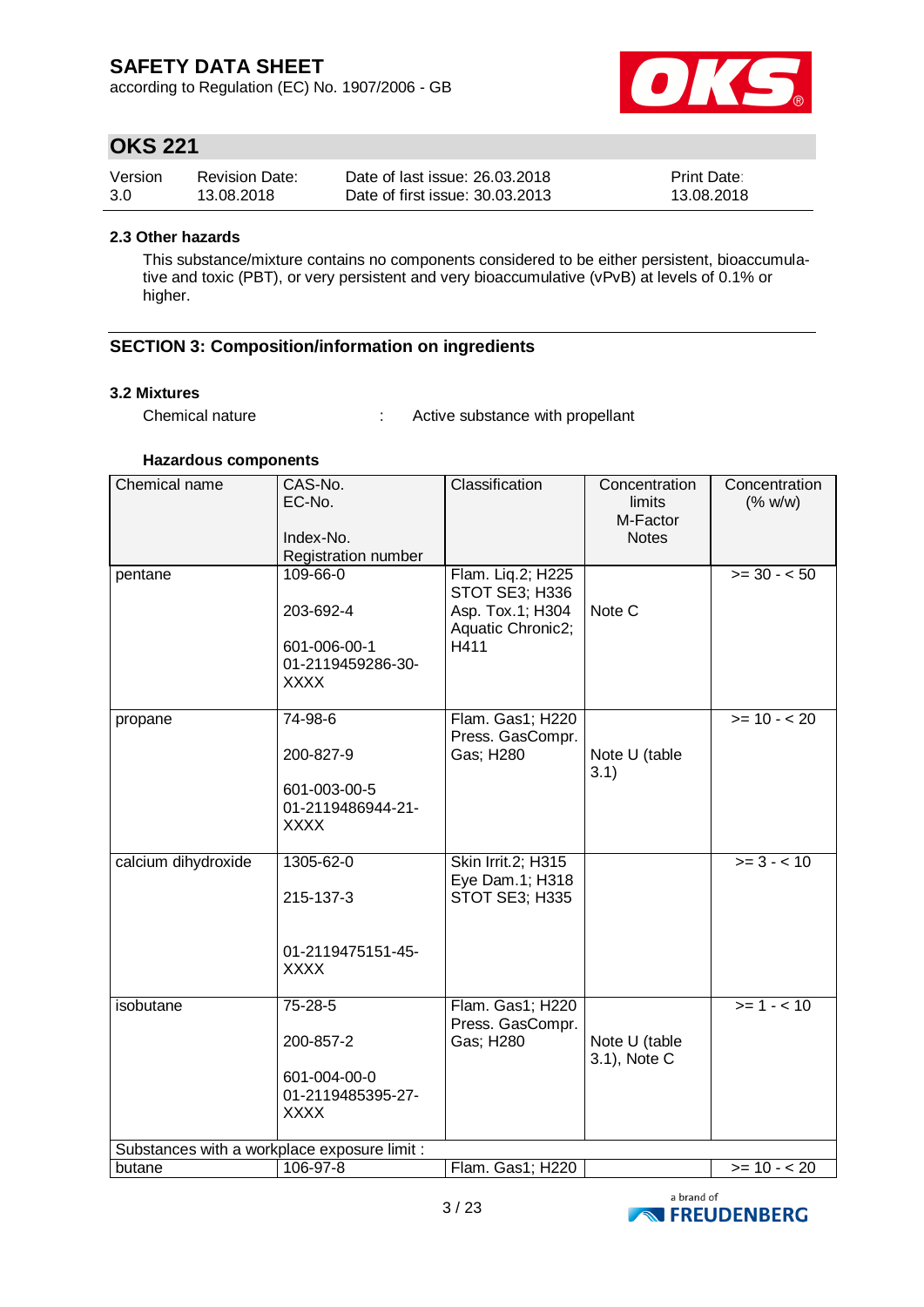according to Regulation (EC) No. 1907/2006 - GB



## **OKS 221**

| Version | <b>Revision Date:</b> | Date of last issue: 26.03.2018  | <b>Print Date:</b> |
|---------|-----------------------|---------------------------------|--------------------|
| 3.0     | 13.08.2018            | Date of first issue: 30.03.2013 | 13.08.2018         |

#### **2.3 Other hazards**

This substance/mixture contains no components considered to be either persistent, bioaccumulative and toxic (PBT), or very persistent and very bioaccumulative (vPvB) at levels of 0.1% or higher.

### **SECTION 3: Composition/information on ingredients**

#### **3.2 Mixtures**

Chemical nature : Active substance with propellant

#### **Hazardous components**

| Chemical name       | CAS-No.<br>EC-No.<br>Index-No.<br>Registration number                     | Classification                                                                       | Concentration<br>limits<br>M-Factor<br><b>Notes</b> | Concentration<br>(% w/w) |  |
|---------------------|---------------------------------------------------------------------------|--------------------------------------------------------------------------------------|-----------------------------------------------------|--------------------------|--|
| pentane             | 109-66-0<br>203-692-4<br>601-006-00-1<br>01-2119459286-30-<br><b>XXXX</b> | Flam. Liq.2; H225<br>STOT SE3; H336<br>Asp. Tox.1; H304<br>Aquatic Chronic2;<br>H411 | Note C                                              | $>= 30 - 50$             |  |
| propane             | 74-98-6<br>200-827-9<br>601-003-00-5<br>01-2119486944-21-<br><b>XXXX</b>  | Flam. Gas1; H220<br>Press. GasCompr.<br>Gas; H280                                    | Note U (table<br>3.1)                               | $>= 10 - 20$             |  |
| calcium dihydroxide | 1305-62-0<br>215-137-3<br>01-2119475151-45-<br><b>XXXX</b>                | Skin Irrit.2; H315<br>Eye Dam.1; H318<br>STOT SE3; H335                              |                                                     | $>= 3 - 10$              |  |
| isobutane           | 75-28-5<br>200-857-2<br>601-004-00-0<br>01-2119485395-27-<br><b>XXXX</b>  | Flam. Gas1; H220<br>Press. GasCompr.<br>Gas; H280                                    | Note U (table<br>3.1), Note C                       | $>= 1 - 10$              |  |
|                     | Substances with a workplace exposure limit :                              |                                                                                      |                                                     |                          |  |
| butane              | 106-97-8                                                                  | Flam. Gas1; H220                                                                     |                                                     | $>= 10 - 20$             |  |

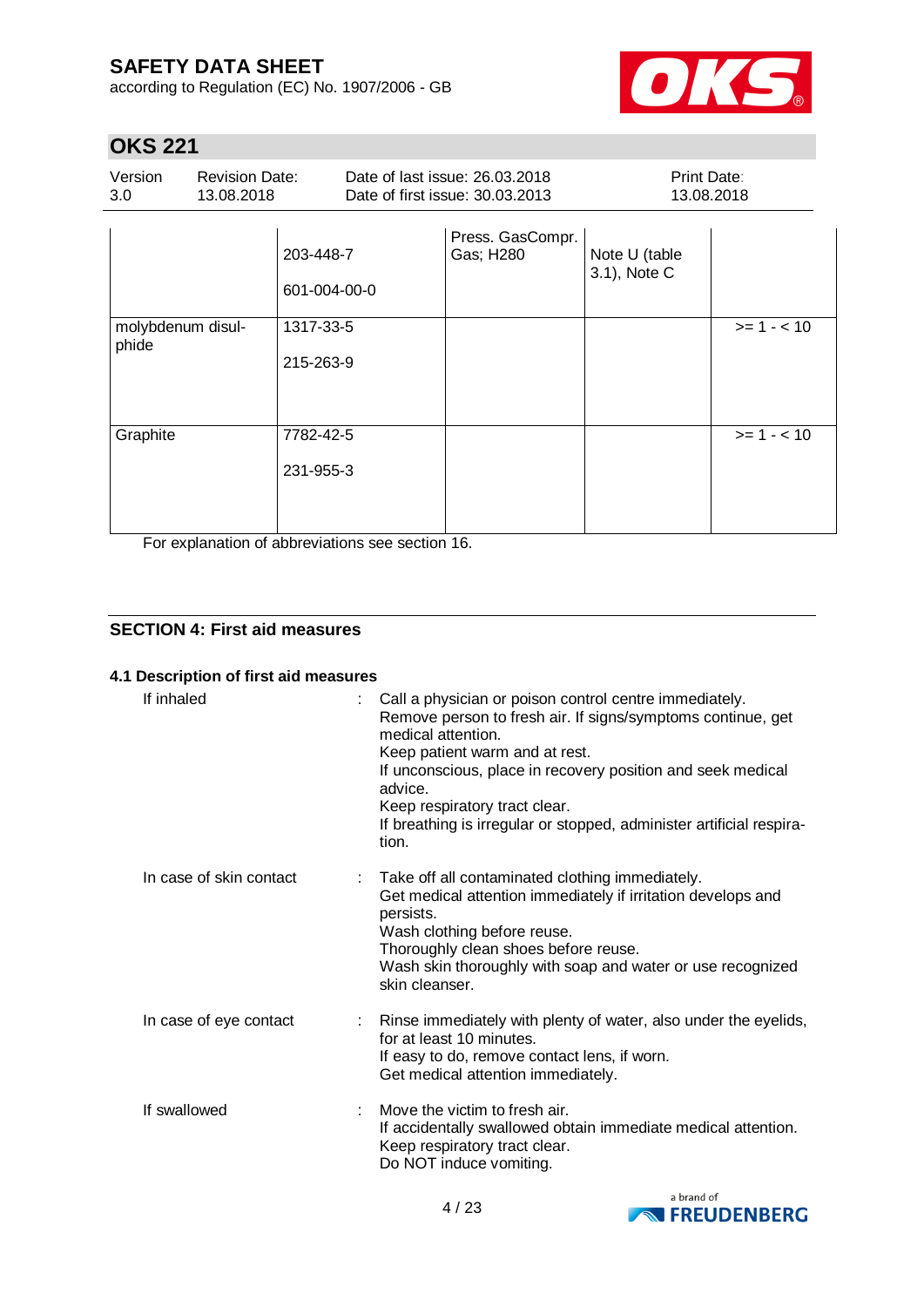according to Regulation (EC) No. 1907/2006 - GB



# **OKS 221**

| Version | Revision Date: | Date of last issue: 26.03.2018  | <b>Print Date:</b> |
|---------|----------------|---------------------------------|--------------------|
| 3.0     | 13.08.2018     | Date of first issue: 30.03.2013 | 13.08.2018         |

|                            | 203-448-7<br>601-004-00-0 | Press. GasCompr.<br>Gas; H280 | Note U (table<br>3.1), Note C |             |
|----------------------------|---------------------------|-------------------------------|-------------------------------|-------------|
| molybdenum disul-<br>phide | 1317-33-5<br>215-263-9    |                               |                               | $>= 1 - 10$ |
| Graphite                   | 7782-42-5<br>231-955-3    |                               |                               | $>= 1 - 10$ |

For explanation of abbreviations see section 16.

### **SECTION 4: First aid measures**

### **4.1 Description of first aid measures**

| If inhaled              | Call a physician or poison control centre immediately.<br>Remove person to fresh air. If signs/symptoms continue, get<br>medical attention.<br>Keep patient warm and at rest.<br>If unconscious, place in recovery position and seek medical<br>advice.<br>Keep respiratory tract clear.<br>If breathing is irregular or stopped, administer artificial respira-<br>tion. |  |
|-------------------------|---------------------------------------------------------------------------------------------------------------------------------------------------------------------------------------------------------------------------------------------------------------------------------------------------------------------------------------------------------------------------|--|
| In case of skin contact | Take off all contaminated clothing immediately.<br>Get medical attention immediately if irritation develops and<br>persists.<br>Wash clothing before reuse.<br>Thoroughly clean shoes before reuse.<br>Wash skin thoroughly with soap and water or use recognized<br>skin cleanser.                                                                                       |  |
| In case of eye contact  | Rinse immediately with plenty of water, also under the eyelids,<br>for at least 10 minutes.<br>If easy to do, remove contact lens, if worn.<br>Get medical attention immediately.                                                                                                                                                                                         |  |
| If swallowed            | Move the victim to fresh air.<br>÷<br>If accidentally swallowed obtain immediate medical attention.<br>Keep respiratory tract clear.<br>Do NOT induce vomiting.                                                                                                                                                                                                           |  |

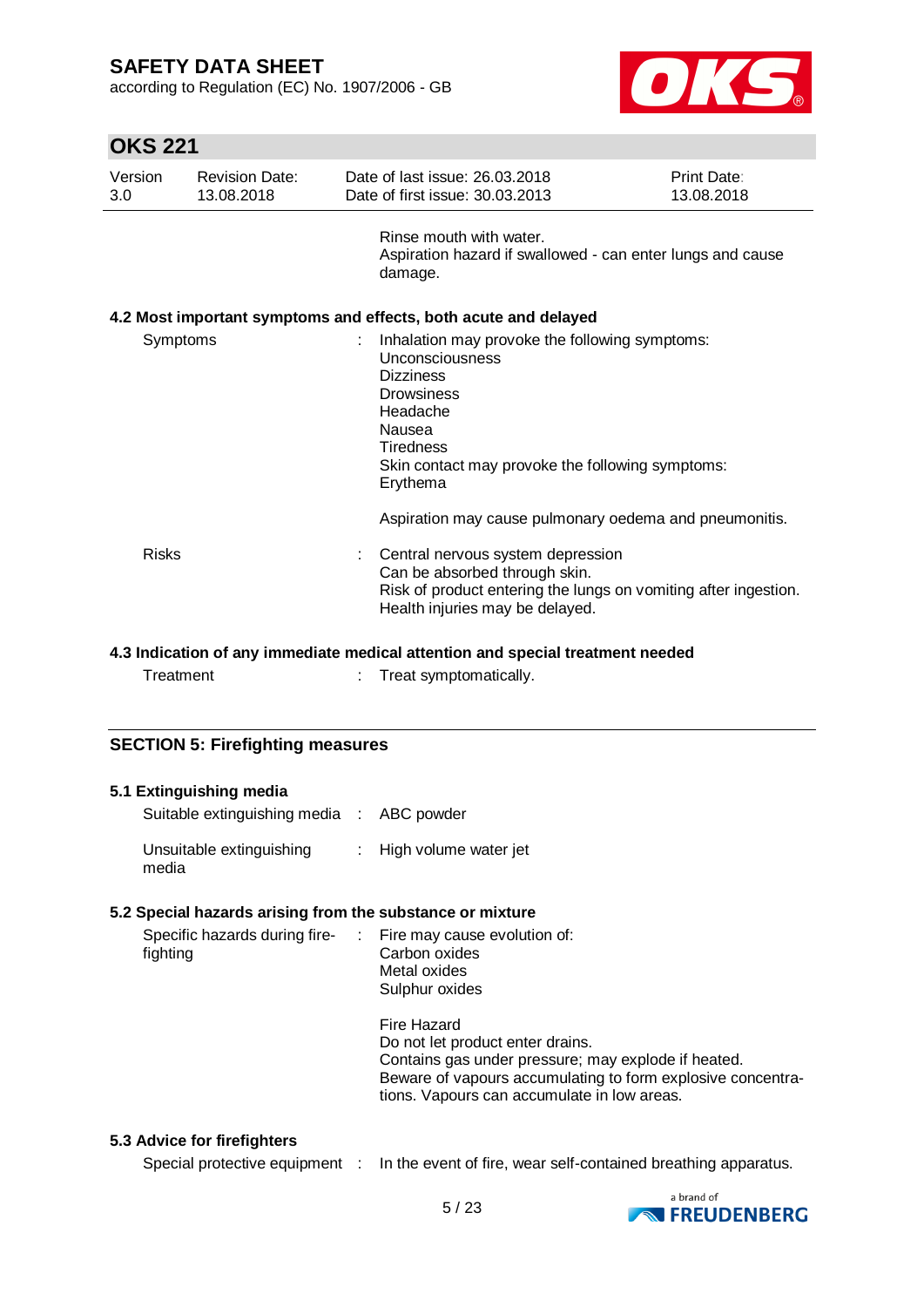according to Regulation (EC) No. 1907/2006 - GB



# **OKS 221**

| Version<br>3.0 | <b>Revision Date:</b><br>13.08.2018 | Date of last issue: 26,03,2018<br>Date of first issue: 30.03.2013                                                                                                                                                    | Print Date:<br>13.08.2018 |
|----------------|-------------------------------------|----------------------------------------------------------------------------------------------------------------------------------------------------------------------------------------------------------------------|---------------------------|
|                |                                     | Rinse mouth with water.<br>Aspiration hazard if swallowed - can enter lungs and cause<br>damage.                                                                                                                     |                           |
|                |                                     | 4.2 Most important symptoms and effects, both acute and delayed                                                                                                                                                      |                           |
| Symptoms       |                                     | Inhalation may provoke the following symptoms:<br>Unconsciousness<br><b>Dizziness</b><br><b>Drowsiness</b><br>Headache<br>Nausea<br><b>Tiredness</b><br>Skin contact may provoke the following symptoms:<br>Erythema |                           |
|                |                                     | Aspiration may cause pulmonary oedema and pneumonitis.                                                                                                                                                               |                           |
| Risks          |                                     | Central nervous system depression<br>Can be absorbed through skin.<br>Risk of product entering the lungs on vomiting after ingestion.<br>Health injuries may be delayed.                                             |                           |

### **4.3 Indication of any immediate medical attention and special treatment needed**

Treatment : Treat symptomatically.

### **SECTION 5: Firefighting measures**

| 5.1 Extinguishing media<br>Suitable extinguishing media : ABC powder     |                                                                                                                                                                                                                      |
|--------------------------------------------------------------------------|----------------------------------------------------------------------------------------------------------------------------------------------------------------------------------------------------------------------|
| Unsuitable extinguishing<br>media                                        | : High volume water jet                                                                                                                                                                                              |
| 5.2 Special hazards arising from the substance or mixture                |                                                                                                                                                                                                                      |
| Specific hazards during fire- : Fire may cause evolution of:<br>fighting | Carbon oxides<br>Metal oxides<br>Sulphur oxides                                                                                                                                                                      |
|                                                                          | Fire Hazard<br>Do not let product enter drains.<br>Contains gas under pressure; may explode if heated.<br>Beware of vapours accumulating to form explosive concentra-<br>tions. Vapours can accumulate in low areas. |

#### **5.3 Advice for firefighters**

Special protective equipment : In the event of fire, wear self-contained breathing apparatus.

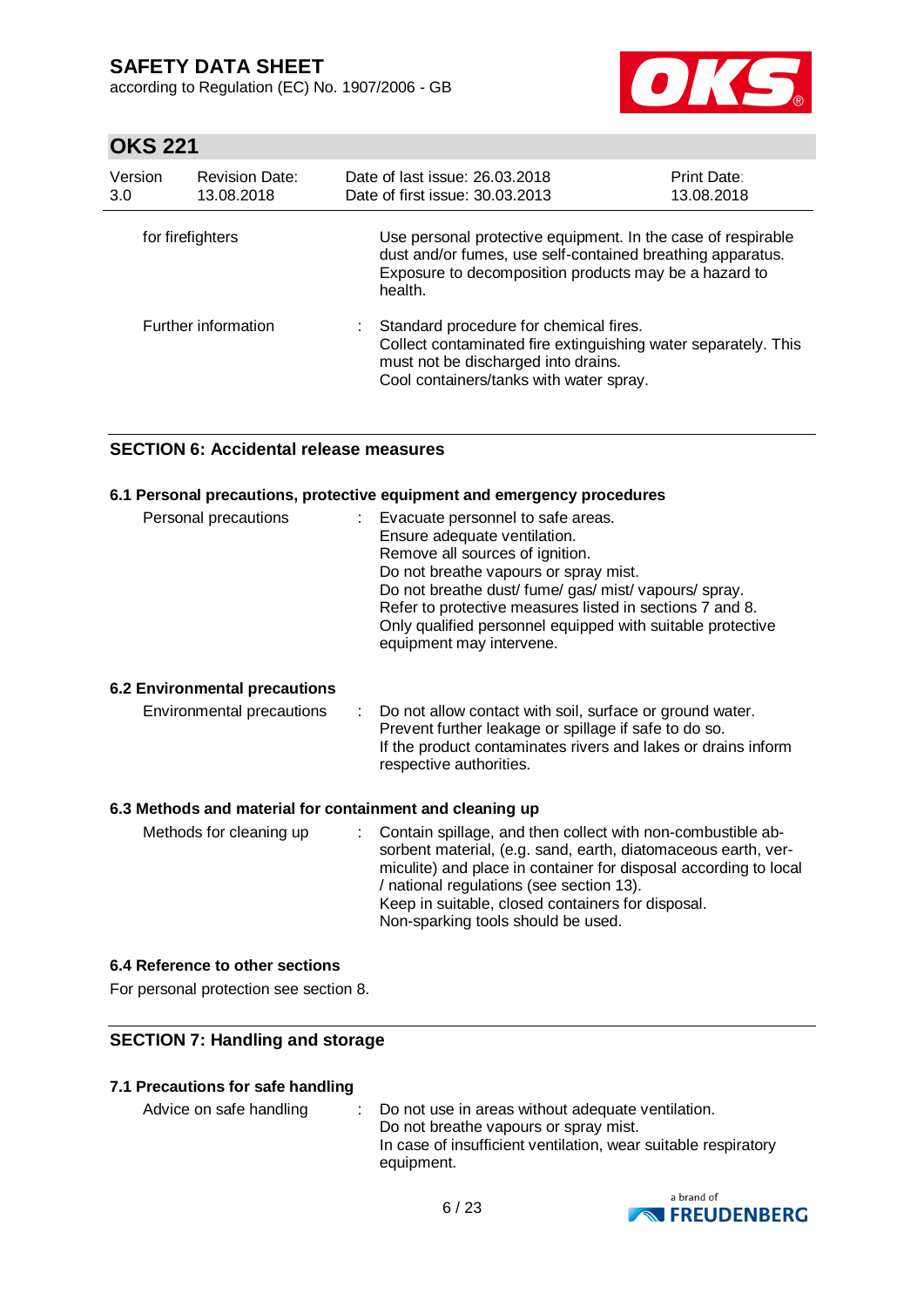according to Regulation (EC) No. 1907/2006 - GB



# **OKS 221**

| Version<br>3.0   | <b>Revision Date:</b><br>13.08.2018 | Date of last issue: 26,03,2018<br>Date of first issue: 30.03.2013                                                                                                                              | <b>Print Date:</b><br>13.08.2018 |
|------------------|-------------------------------------|------------------------------------------------------------------------------------------------------------------------------------------------------------------------------------------------|----------------------------------|
| for firefighters |                                     | Use personal protective equipment. In the case of respirable<br>dust and/or fumes, use self-contained breathing apparatus.<br>Exposure to decomposition products may be a hazard to<br>health. |                                  |
|                  | Further information                 | : Standard procedure for chemical fires.<br>Collect contaminated fire extinguishing water separately. This<br>must not be discharged into drains.<br>Cool containers/tanks with water spray.   |                                  |

### **SECTION 6: Accidental release measures**

#### **6.1 Personal precautions, protective equipment and emergency procedures**

| Personal precautions | Evacuate personnel to safe areas.<br>Ensure adequate ventilation.<br>Remove all sources of ignition.<br>Do not breathe vapours or spray mist.<br>Do not breathe dust/ fume/ gas/ mist/ vapours/ spray.<br>Refer to protective measures listed in sections 7 and 8.<br>Only qualified personnel equipped with suitable protective |
|----------------------|----------------------------------------------------------------------------------------------------------------------------------------------------------------------------------------------------------------------------------------------------------------------------------------------------------------------------------|
|                      | equipment may intervene.                                                                                                                                                                                                                                                                                                         |

#### **6.2 Environmental precautions**

| Environmental precautions | : Do not allow contact with soil, surface or ground water.    |
|---------------------------|---------------------------------------------------------------|
|                           | Prevent further leakage or spillage if safe to do so.         |
|                           | If the product contaminates rivers and lakes or drains inform |
|                           | respective authorities.                                       |

#### **6.3 Methods and material for containment and cleaning up**

| Methods for cleaning up | : Contain spillage, and then collect with non-combustible ab-<br>sorbent material, (e.g. sand, earth, diatomaceous earth, ver-<br>miculite) and place in container for disposal according to local<br>/ national regulations (see section 13).<br>Keep in suitable, closed containers for disposal.<br>Non-sparking tools should be used. |
|-------------------------|-------------------------------------------------------------------------------------------------------------------------------------------------------------------------------------------------------------------------------------------------------------------------------------------------------------------------------------------|
|-------------------------|-------------------------------------------------------------------------------------------------------------------------------------------------------------------------------------------------------------------------------------------------------------------------------------------------------------------------------------------|

#### **6.4 Reference to other sections**

For personal protection see section 8.

### **SECTION 7: Handling and storage**

#### **7.1 Precautions for safe handling**

Advice on safe handling : Do not use in areas without adequate ventilation. Do not breathe vapours or spray mist. In case of insufficient ventilation, wear suitable respiratory equipment.

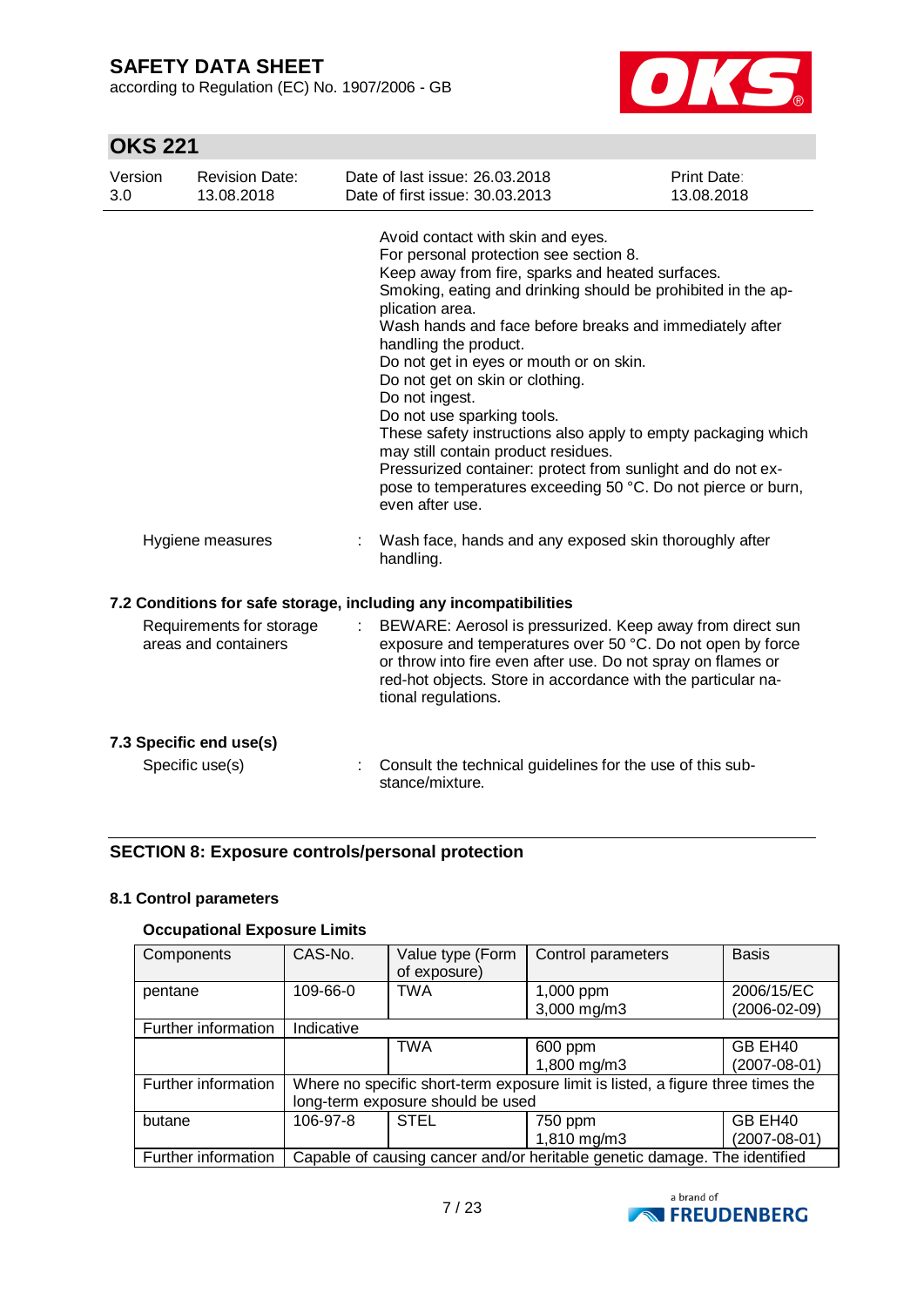according to Regulation (EC) No. 1907/2006 - GB



# **OKS 221**

| Version<br>3.0 | <b>Revision Date:</b><br>13.08.2018              | Date of last issue: 26.03.2018<br>Date of first issue: 30.03.2013                                                                                                                                                                                                                                                                                                                                                                                                                                                                                                                                                                                                                              | <b>Print Date:</b><br>13.08.2018 |
|----------------|--------------------------------------------------|------------------------------------------------------------------------------------------------------------------------------------------------------------------------------------------------------------------------------------------------------------------------------------------------------------------------------------------------------------------------------------------------------------------------------------------------------------------------------------------------------------------------------------------------------------------------------------------------------------------------------------------------------------------------------------------------|----------------------------------|
|                |                                                  | Avoid contact with skin and eyes.<br>For personal protection see section 8.<br>Keep away from fire, sparks and heated surfaces.<br>Smoking, eating and drinking should be prohibited in the ap-<br>plication area.<br>Wash hands and face before breaks and immediately after<br>handling the product.<br>Do not get in eyes or mouth or on skin.<br>Do not get on skin or clothing.<br>Do not ingest.<br>Do not use sparking tools.<br>These safety instructions also apply to empty packaging which<br>may still contain product residues.<br>Pressurized container: protect from sunlight and do not ex-<br>pose to temperatures exceeding 50 °C. Do not pierce or burn,<br>even after use. |                                  |
|                | Hygiene measures                                 | Wash face, hands and any exposed skin thoroughly after<br>handling.                                                                                                                                                                                                                                                                                                                                                                                                                                                                                                                                                                                                                            |                                  |
|                |                                                  | 7.2 Conditions for safe storage, including any incompatibilities                                                                                                                                                                                                                                                                                                                                                                                                                                                                                                                                                                                                                               |                                  |
|                | Requirements for storage<br>areas and containers | BEWARE: Aerosol is pressurized. Keep away from direct sun<br>exposure and temperatures over 50 °C. Do not open by force<br>or throw into fire even after use. Do not spray on flames or<br>red-hot objects. Store in accordance with the particular na-<br>tional regulations.                                                                                                                                                                                                                                                                                                                                                                                                                 |                                  |
|                | 7.3 Specific end use(s)<br>Specific use(s)       | Consult the technical guidelines for the use of this sub-<br>stance/mixture.                                                                                                                                                                                                                                                                                                                                                                                                                                                                                                                                                                                                                   |                                  |
|                |                                                  |                                                                                                                                                                                                                                                                                                                                                                                                                                                                                                                                                                                                                                                                                                |                                  |

### **SECTION 8: Exposure controls/personal protection**

### **8.1 Control parameters**

### **Occupational Exposure Limits**

| Components          | CAS-No.                                                                         | Value type (Form<br>of exposure) | Control parameters       | <b>Basis</b>                     |  |
|---------------------|---------------------------------------------------------------------------------|----------------------------------|--------------------------|----------------------------------|--|
| pentane             | 109-66-0                                                                        | <b>TWA</b>                       | 1,000 ppm<br>3,000 mg/m3 | 2006/15/EC<br>$(2006 - 02 - 09)$ |  |
| Further information | Indicative                                                                      |                                  |                          |                                  |  |
|                     |                                                                                 | <b>TWA</b>                       | 600 ppm                  | GB EH40                          |  |
|                     |                                                                                 |                                  | 1,800 mg/m3              | $(2007 - 08 - 01)$               |  |
| Further information | Where no specific short-term exposure limit is listed, a figure three times the |                                  |                          |                                  |  |
|                     | long-term exposure should be used                                               |                                  |                          |                                  |  |
| butane              | 106-97-8                                                                        | <b>STEL</b>                      | 750 ppm                  | GB EH40                          |  |
|                     |                                                                                 |                                  | 1,810 mg/m3              | (2007-08-01)                     |  |
| Further information | Capable of causing cancer and/or heritable genetic damage. The identified       |                                  |                          |                                  |  |

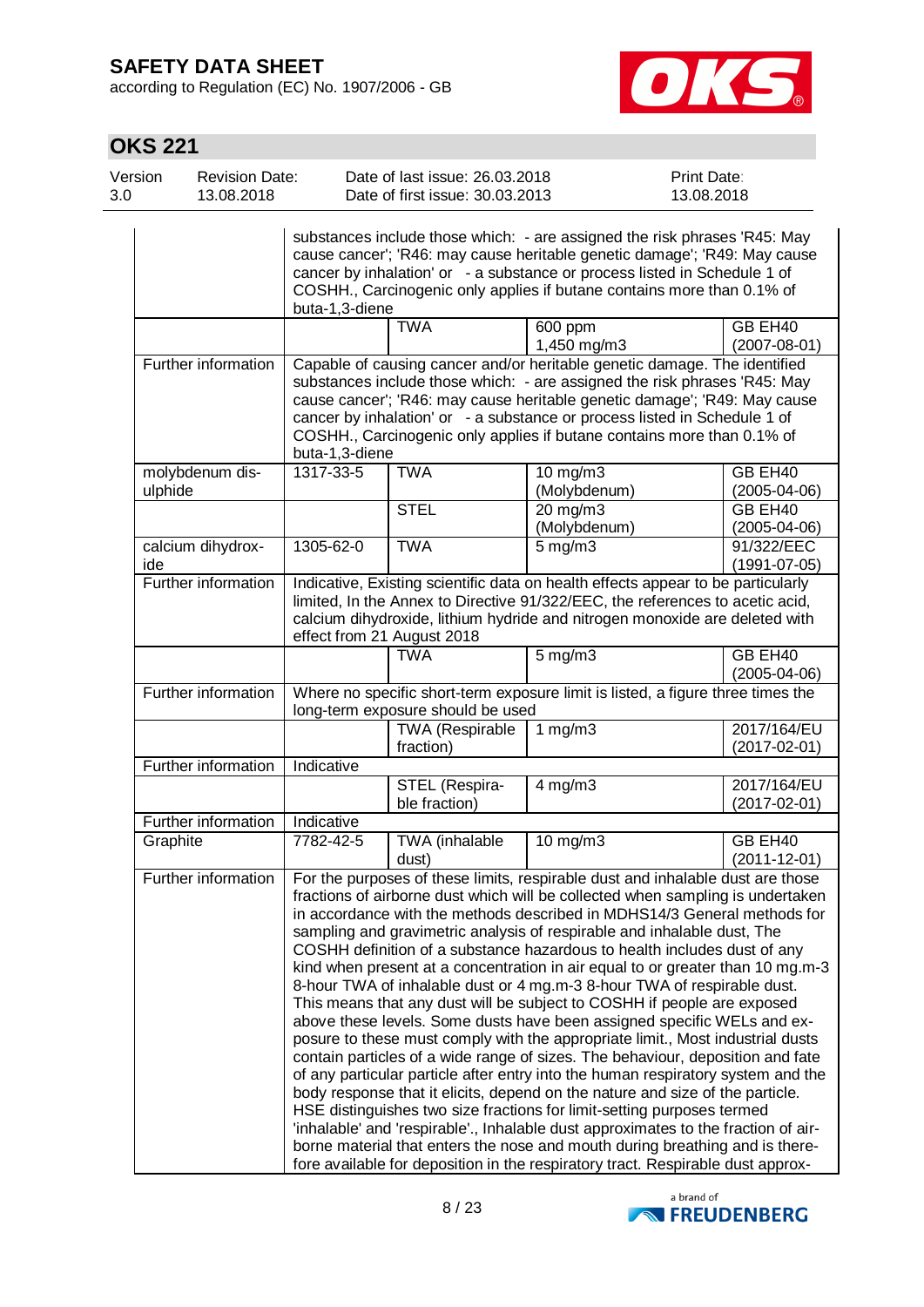according to Regulation (EC) No. 1907/2006 - GB



## **OKS 221**

| Version | <b>Revision Date:</b> | Date of last issue: 26,03,2018  | <b>Print Date:</b> |
|---------|-----------------------|---------------------------------|--------------------|
| 3.0     | 13.08.2018            | Date of first issue: 30.03.2013 | 13.08.2018         |
|         |                       |                                 |                    |

|                          | buta-1,3-diene |                                     | substances include those which: - are assigned the risk phrases 'R45: May<br>cause cancer'; 'R46: may cause heritable genetic damage'; 'R49: May cause<br>cancer by inhalation' or - a substance or process listed in Schedule 1 of<br>COSHH., Carcinogenic only applies if butane contains more than 0.1% of                                                                                                                                                                                                                                                                                                                                                                                                                                                                                                                                                                                                                                                                                                                                                                                                                                                                                                                                                                                                                                                                                      |                                                     |
|--------------------------|----------------|-------------------------------------|----------------------------------------------------------------------------------------------------------------------------------------------------------------------------------------------------------------------------------------------------------------------------------------------------------------------------------------------------------------------------------------------------------------------------------------------------------------------------------------------------------------------------------------------------------------------------------------------------------------------------------------------------------------------------------------------------------------------------------------------------------------------------------------------------------------------------------------------------------------------------------------------------------------------------------------------------------------------------------------------------------------------------------------------------------------------------------------------------------------------------------------------------------------------------------------------------------------------------------------------------------------------------------------------------------------------------------------------------------------------------------------------------|-----------------------------------------------------|
|                          |                | <b>TWA</b>                          | 600 ppm<br>1,450 mg/m3                                                                                                                                                                                                                                                                                                                                                                                                                                                                                                                                                                                                                                                                                                                                                                                                                                                                                                                                                                                                                                                                                                                                                                                                                                                                                                                                                                             | GB EH <sub>40</sub><br>$(2007 - 08 - 01)$           |
| Further information      | buta-1,3-diene |                                     | Capable of causing cancer and/or heritable genetic damage. The identified<br>substances include those which: - are assigned the risk phrases 'R45: May<br>cause cancer'; 'R46: may cause heritable genetic damage'; 'R49: May cause<br>cancer by inhalation' or - a substance or process listed in Schedule 1 of<br>COSHH., Carcinogenic only applies if butane contains more than 0.1% of                                                                                                                                                                                                                                                                                                                                                                                                                                                                                                                                                                                                                                                                                                                                                                                                                                                                                                                                                                                                         |                                                     |
| molybdenum dis-          | 1317-33-5      | <b>TWA</b>                          | 10 mg/m3                                                                                                                                                                                                                                                                                                                                                                                                                                                                                                                                                                                                                                                                                                                                                                                                                                                                                                                                                                                                                                                                                                                                                                                                                                                                                                                                                                                           | GB EH40                                             |
| ulphide                  |                | <b>STEL</b>                         | (Molybdenum)<br>20 mg/m3<br>(Molybdenum)                                                                                                                                                                                                                                                                                                                                                                                                                                                                                                                                                                                                                                                                                                                                                                                                                                                                                                                                                                                                                                                                                                                                                                                                                                                                                                                                                           | $(2005 - 04 - 06)$<br>GB EH40<br>$(2005 - 04 - 06)$ |
| calcium dihydrox-<br>ide | 1305-62-0      | <b>TWA</b>                          | $5 \,\mathrm{mg/m}$                                                                                                                                                                                                                                                                                                                                                                                                                                                                                                                                                                                                                                                                                                                                                                                                                                                                                                                                                                                                                                                                                                                                                                                                                                                                                                                                                                                | 91/322/EEC<br>$(1991 - 07 - 05)$                    |
| Further information      |                | effect from 21 August 2018          | Indicative, Existing scientific data on health effects appear to be particularly<br>limited, In the Annex to Directive 91/322/EEC, the references to acetic acid,<br>calcium dihydroxide, lithium hydride and nitrogen monoxide are deleted with                                                                                                                                                                                                                                                                                                                                                                                                                                                                                                                                                                                                                                                                                                                                                                                                                                                                                                                                                                                                                                                                                                                                                   |                                                     |
|                          |                | <b>TWA</b>                          | $5$ mg/m $3$                                                                                                                                                                                                                                                                                                                                                                                                                                                                                                                                                                                                                                                                                                                                                                                                                                                                                                                                                                                                                                                                                                                                                                                                                                                                                                                                                                                       | GB EH40<br>$(2005 - 04 - 06)$                       |
| Further information      |                | long-term exposure should be used   | Where no specific short-term exposure limit is listed, a figure three times the                                                                                                                                                                                                                                                                                                                                                                                                                                                                                                                                                                                                                                                                                                                                                                                                                                                                                                                                                                                                                                                                                                                                                                                                                                                                                                                    |                                                     |
|                          |                | <b>TWA (Respirable</b><br>fraction) | 1 $mg/m3$                                                                                                                                                                                                                                                                                                                                                                                                                                                                                                                                                                                                                                                                                                                                                                                                                                                                                                                                                                                                                                                                                                                                                                                                                                                                                                                                                                                          | 2017/164/EU<br>$(2017 - 02 - 01)$                   |
| Further information      | Indicative     |                                     |                                                                                                                                                                                                                                                                                                                                                                                                                                                                                                                                                                                                                                                                                                                                                                                                                                                                                                                                                                                                                                                                                                                                                                                                                                                                                                                                                                                                    |                                                     |
|                          |                | STEL (Respira-<br>ble fraction)     | $4$ mg/m $3$                                                                                                                                                                                                                                                                                                                                                                                                                                                                                                                                                                                                                                                                                                                                                                                                                                                                                                                                                                                                                                                                                                                                                                                                                                                                                                                                                                                       | 2017/164/EU<br>$(2017 - 02 - 01)$                   |
| Further information      | Indicative     |                                     |                                                                                                                                                                                                                                                                                                                                                                                                                                                                                                                                                                                                                                                                                                                                                                                                                                                                                                                                                                                                                                                                                                                                                                                                                                                                                                                                                                                                    |                                                     |
| Graphite                 | 7782-42-5      | TWA (inhalable<br>dust)             | 10 mg/m3                                                                                                                                                                                                                                                                                                                                                                                                                                                                                                                                                                                                                                                                                                                                                                                                                                                                                                                                                                                                                                                                                                                                                                                                                                                                                                                                                                                           | GB EH40<br>$(2011 - 12 - 01)$                       |
| Further information      |                |                                     | For the purposes of these limits, respirable dust and inhalable dust are those<br>fractions of airborne dust which will be collected when sampling is undertaken<br>in accordance with the methods described in MDHS14/3 General methods for<br>sampling and gravimetric analysis of respirable and inhalable dust, The<br>COSHH definition of a substance hazardous to health includes dust of any<br>kind when present at a concentration in air equal to or greater than 10 mg.m-3<br>8-hour TWA of inhalable dust or 4 mg.m-3 8-hour TWA of respirable dust.<br>This means that any dust will be subject to COSHH if people are exposed<br>above these levels. Some dusts have been assigned specific WELs and ex-<br>posure to these must comply with the appropriate limit., Most industrial dusts<br>contain particles of a wide range of sizes. The behaviour, deposition and fate<br>of any particular particle after entry into the human respiratory system and the<br>body response that it elicits, depend on the nature and size of the particle.<br>HSE distinguishes two size fractions for limit-setting purposes termed<br>'inhalable' and 'respirable'., Inhalable dust approximates to the fraction of air-<br>borne material that enters the nose and mouth during breathing and is there-<br>fore available for deposition in the respiratory tract. Respirable dust approx- |                                                     |

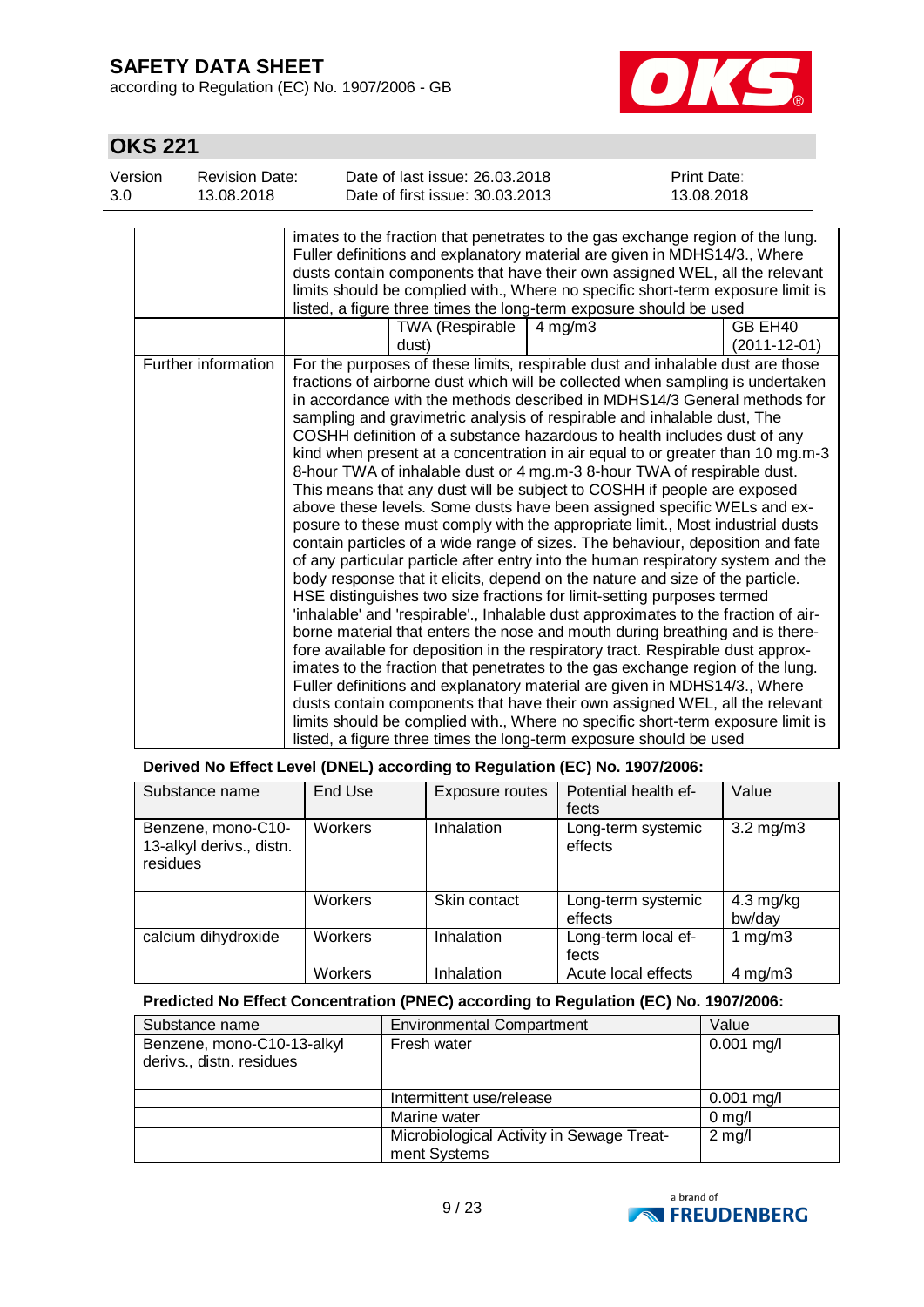according to Regulation (EC) No. 1907/2006 - GB



# **OKS 221**

| Version<br>3.0 | <b>Revision Date:</b><br>13.08.2018 | Date of last issue: 26.03.2018<br>Date of first issue: 30.03.2013                                                                                                                                                                                                                                                                                                                                                                                                                                                                                                                                                                                                                                                                                                                                                                                                                                                                                                                                                                                                                                                                                                                                                                                                                                                                                                                                                                                                                                                                                                                                                                                                                                                                                                                                         | <b>Print Date:</b><br>13.08.2018 |
|----------------|-------------------------------------|-----------------------------------------------------------------------------------------------------------------------------------------------------------------------------------------------------------------------------------------------------------------------------------------------------------------------------------------------------------------------------------------------------------------------------------------------------------------------------------------------------------------------------------------------------------------------------------------------------------------------------------------------------------------------------------------------------------------------------------------------------------------------------------------------------------------------------------------------------------------------------------------------------------------------------------------------------------------------------------------------------------------------------------------------------------------------------------------------------------------------------------------------------------------------------------------------------------------------------------------------------------------------------------------------------------------------------------------------------------------------------------------------------------------------------------------------------------------------------------------------------------------------------------------------------------------------------------------------------------------------------------------------------------------------------------------------------------------------------------------------------------------------------------------------------------|----------------------------------|
|                |                                     | imates to the fraction that penetrates to the gas exchange region of the lung.<br>Fuller definitions and explanatory material are given in MDHS14/3., Where<br>dusts contain components that have their own assigned WEL, all the relevant<br>limits should be complied with., Where no specific short-term exposure limit is<br>listed, a figure three times the long-term exposure should be used                                                                                                                                                                                                                                                                                                                                                                                                                                                                                                                                                                                                                                                                                                                                                                                                                                                                                                                                                                                                                                                                                                                                                                                                                                                                                                                                                                                                       |                                  |
|                |                                     | <b>TWA (Respirable</b><br>$4 \text{ mg/m}$ 3<br>dust)                                                                                                                                                                                                                                                                                                                                                                                                                                                                                                                                                                                                                                                                                                                                                                                                                                                                                                                                                                                                                                                                                                                                                                                                                                                                                                                                                                                                                                                                                                                                                                                                                                                                                                                                                     | GB EH40<br>(2011-12-01)          |
|                | Further information                 | For the purposes of these limits, respirable dust and inhalable dust are those<br>fractions of airborne dust which will be collected when sampling is undertaken<br>in accordance with the methods described in MDHS14/3 General methods for<br>sampling and gravimetric analysis of respirable and inhalable dust, The<br>COSHH definition of a substance hazardous to health includes dust of any<br>kind when present at a concentration in air equal to or greater than 10 mg.m-3<br>8-hour TWA of inhalable dust or 4 mg.m-3 8-hour TWA of respirable dust.<br>This means that any dust will be subject to COSHH if people are exposed<br>above these levels. Some dusts have been assigned specific WELs and ex-<br>posure to these must comply with the appropriate limit., Most industrial dusts<br>contain particles of a wide range of sizes. The behaviour, deposition and fate<br>of any particular particle after entry into the human respiratory system and the<br>body response that it elicits, depend on the nature and size of the particle.<br>HSE distinguishes two size fractions for limit-setting purposes termed<br>'inhalable' and 'respirable'., Inhalable dust approximates to the fraction of air-<br>borne material that enters the nose and mouth during breathing and is there-<br>fore available for deposition in the respiratory tract. Respirable dust approx-<br>imates to the fraction that penetrates to the gas exchange region of the lung.<br>Fuller definitions and explanatory material are given in MDHS14/3., Where<br>dusts contain components that have their own assigned WEL, all the relevant<br>limits should be complied with., Where no specific short-term exposure limit is<br>listed, a figure three times the long-term exposure should be used |                                  |

| Derived No Effect Level (DNEL) according to Regulation (EC) No. 1907/2006: |  |  |
|----------------------------------------------------------------------------|--|--|
|----------------------------------------------------------------------------|--|--|

| Substance name                                             | End Use        | Exposure routes | Potential health ef-<br>fects | Value                         |
|------------------------------------------------------------|----------------|-----------------|-------------------------------|-------------------------------|
| Benzene, mono-C10-<br>13-alkyl derivs., distn.<br>residues | <b>Workers</b> | Inhalation      | Long-term systemic<br>effects | $3.2 \text{ mg/m}$ 3          |
|                                                            | <b>Workers</b> | Skin contact    | Long-term systemic<br>effects | $4.3 \text{ mg/kg}$<br>bw/day |
| calcium dihydroxide                                        | <b>Workers</b> | Inhalation      | Long-term local ef-<br>fects  | 1 mg/m $3$                    |
|                                                            | Workers        | Inhalation      | Acute local effects           | $4 \text{ mg/m}$              |

### **Predicted No Effect Concentration (PNEC) according to Regulation (EC) No. 1907/2006:**

| Substance name                                         | <b>Environmental Compartment</b>                          | Value        |
|--------------------------------------------------------|-----------------------------------------------------------|--------------|
| Benzene, mono-C10-13-alkyl<br>derivs., distn. residues | Fresh water                                               | $0.001$ mg/l |
|                                                        | Intermittent use/release                                  | $0.001$ mg/l |
|                                                        | Marine water                                              | $0$ mg/l     |
|                                                        | Microbiological Activity in Sewage Treat-<br>ment Systems | $2$ mg/l     |

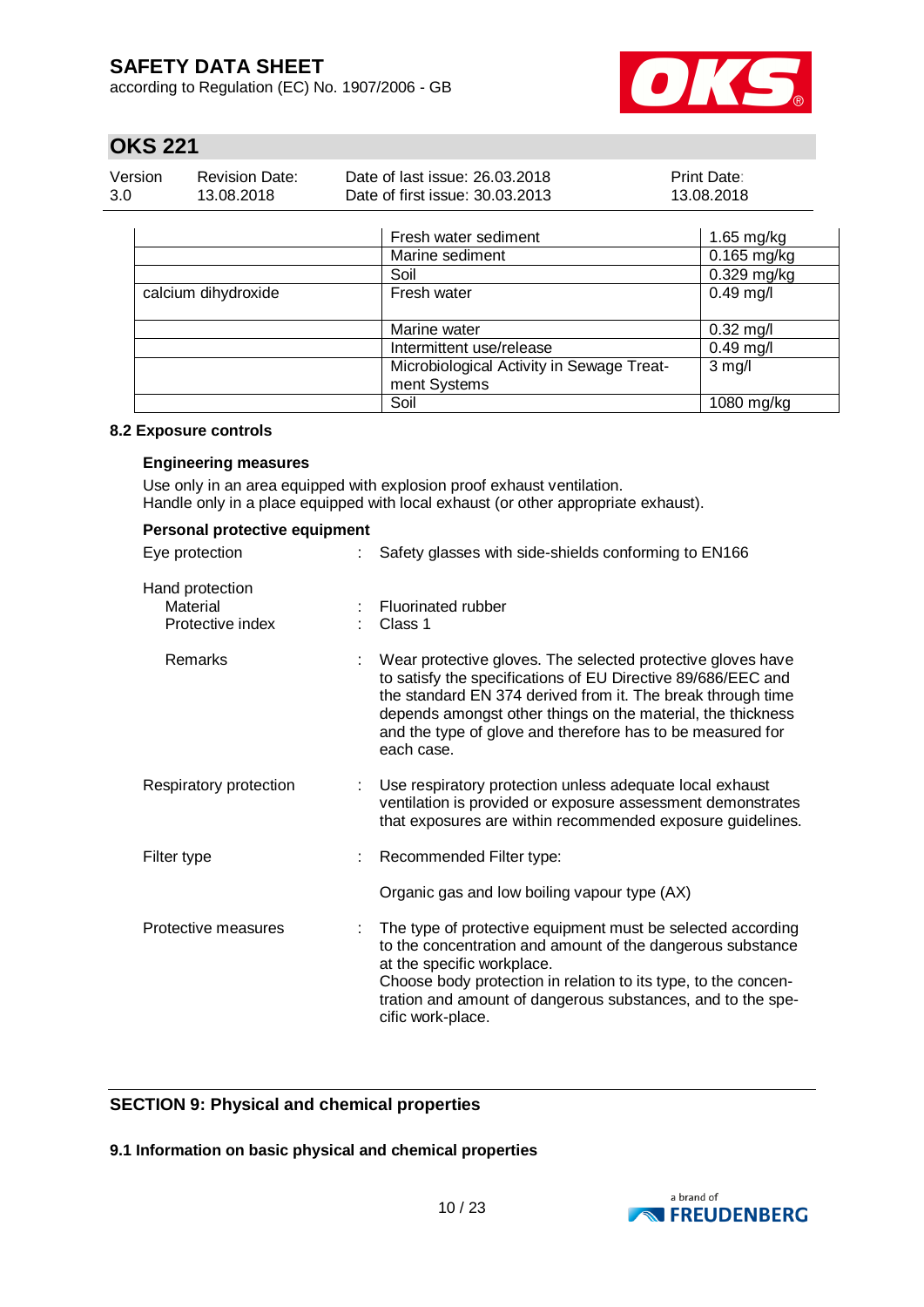according to Regulation (EC) No. 1907/2006 - GB



# **OKS 221**

| Version | <b>Revision Date:</b> | Date of last issue: 26.03.2018  | <b>Print Date:</b> |
|---------|-----------------------|---------------------------------|--------------------|
| 3.0     | 13.08.2018            | Date of first issue: 30.03.2013 | 13.08.2018         |

|                     | Fresh water sediment                      | 1.65 mg/kg    |
|---------------------|-------------------------------------------|---------------|
|                     | Marine sediment                           | $0.165$ mg/kg |
|                     | Soil                                      | $0.329$ mg/kg |
| calcium dihydroxide | Fresh water                               | $0.49$ mg/l   |
|                     | Marine water                              | $0.32$ mg/l   |
|                     | Intermittent use/release                  | $0.49$ mg/l   |
|                     | Microbiological Activity in Sewage Treat- | $3$ mg/l      |
|                     | ment Systems                              |               |
|                     | Soil                                      | 1080 mg/kg    |

#### **8.2 Exposure controls**

#### **Engineering measures**

Use only in an area equipped with explosion proof exhaust ventilation. Handle only in a place equipped with local exhaust (or other appropriate exhaust).

| Personal protective equipment                   |   |                                                                                                                                                                                                                                                                                                                                       |  |  |
|-------------------------------------------------|---|---------------------------------------------------------------------------------------------------------------------------------------------------------------------------------------------------------------------------------------------------------------------------------------------------------------------------------------|--|--|
| Eye protection                                  | ÷ | Safety glasses with side-shields conforming to EN166                                                                                                                                                                                                                                                                                  |  |  |
| Hand protection<br>Material<br>Protective index |   | <b>Fluorinated rubber</b><br>Class 1                                                                                                                                                                                                                                                                                                  |  |  |
| Remarks                                         |   | Wear protective gloves. The selected protective gloves have<br>to satisfy the specifications of EU Directive 89/686/EEC and<br>the standard EN 374 derived from it. The break through time<br>depends amongst other things on the material, the thickness<br>and the type of glove and therefore has to be measured for<br>each case. |  |  |
| Respiratory protection                          |   | Use respiratory protection unless adequate local exhaust<br>ventilation is provided or exposure assessment demonstrates<br>that exposures are within recommended exposure guidelines.                                                                                                                                                 |  |  |
| Filter type                                     |   | Recommended Filter type:                                                                                                                                                                                                                                                                                                              |  |  |
|                                                 |   | Organic gas and low boiling vapour type (AX)                                                                                                                                                                                                                                                                                          |  |  |
| Protective measures                             |   | The type of protective equipment must be selected according<br>to the concentration and amount of the dangerous substance<br>at the specific workplace.<br>Choose body protection in relation to its type, to the concen-<br>tration and amount of dangerous substances, and to the spe-<br>cific work-place.                         |  |  |

### **SECTION 9: Physical and chemical properties**

**9.1 Information on basic physical and chemical properties**

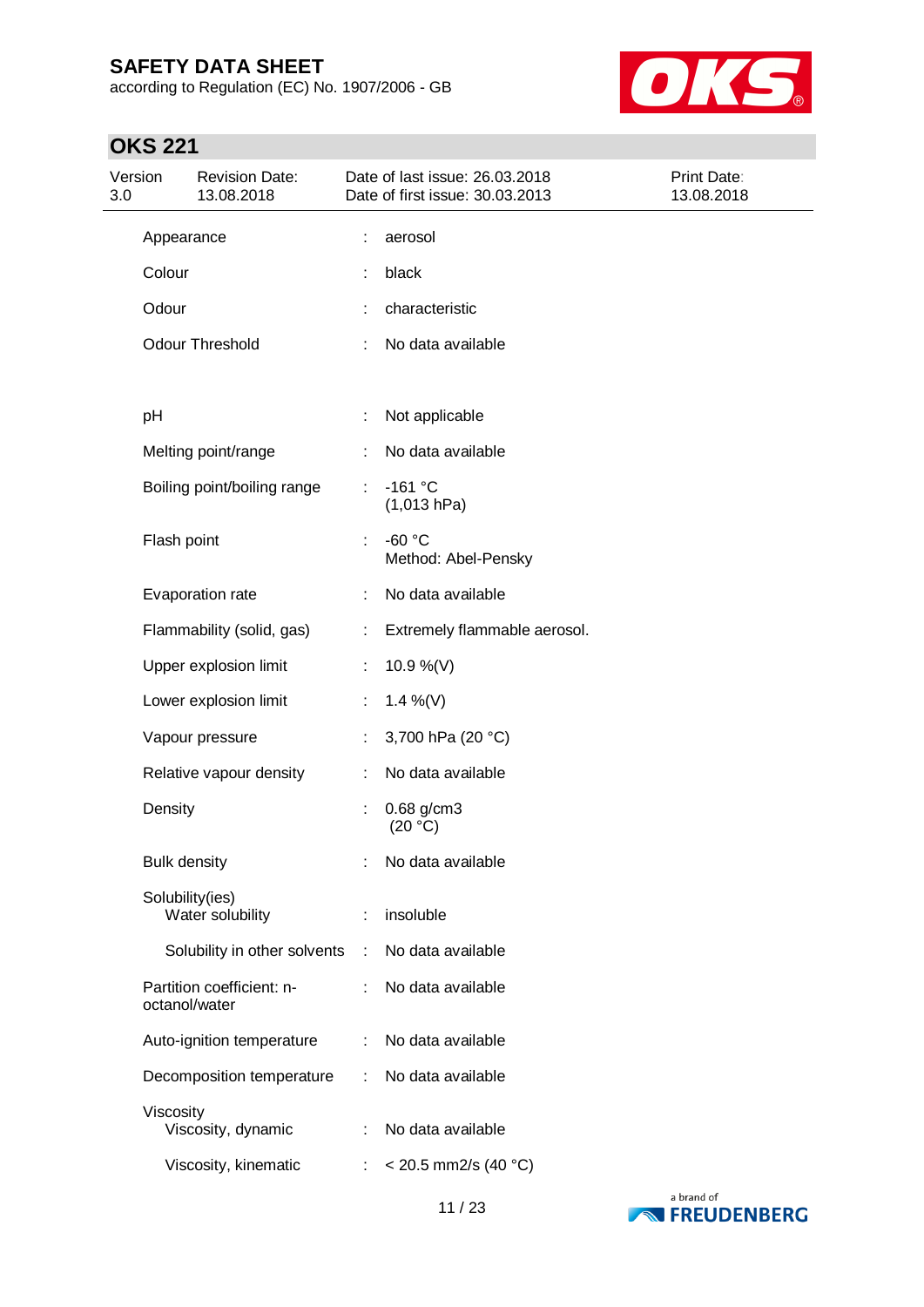according to Regulation (EC) No. 1907/2006 - GB



# **OKS 221**

| Version<br><b>Revision Date:</b><br>3.0<br>13.08.2018 |                     |                                            | Date of last issue: 26.03.2018<br>Date of first issue: 30.03.2013 | Print Date:<br>13.08.2018       |  |
|-------------------------------------------------------|---------------------|--------------------------------------------|-------------------------------------------------------------------|---------------------------------|--|
|                                                       | Appearance          |                                            | ÷                                                                 | aerosol                         |  |
|                                                       | Colour              |                                            | ÷                                                                 | black                           |  |
|                                                       | Odour               |                                            |                                                                   | characteristic                  |  |
|                                                       |                     | Odour Threshold                            |                                                                   | No data available               |  |
|                                                       | pH                  |                                            |                                                                   | Not applicable                  |  |
|                                                       |                     | Melting point/range                        |                                                                   | No data available               |  |
|                                                       |                     | Boiling point/boiling range                | ÷                                                                 | $-161 °C$<br>(1,013 hPa)        |  |
|                                                       | Flash point         |                                            | ÷                                                                 | $-60 °C$<br>Method: Abel-Pensky |  |
|                                                       |                     | Evaporation rate                           |                                                                   | No data available               |  |
|                                                       |                     | Flammability (solid, gas)                  | ÷                                                                 | Extremely flammable aerosol.    |  |
|                                                       |                     | Upper explosion limit                      | ÷                                                                 | 10.9 %(V)                       |  |
|                                                       |                     | Lower explosion limit                      | ÷.                                                                | 1.4 %(V)                        |  |
|                                                       |                     | Vapour pressure                            | ÷.                                                                | 3,700 hPa (20 °C)               |  |
|                                                       |                     | Relative vapour density                    | ÷                                                                 | No data available               |  |
|                                                       | Density             |                                            |                                                                   | 0.68 g/cm3<br>(20 °C)           |  |
|                                                       | <b>Bulk density</b> |                                            |                                                                   | No data available               |  |
|                                                       |                     | Solubility(ies)<br>Water solubility        | ÷                                                                 | insoluble                       |  |
|                                                       |                     | Solubility in other solvents               | ÷                                                                 | No data available               |  |
|                                                       |                     | Partition coefficient: n-<br>octanol/water |                                                                   | No data available               |  |
|                                                       |                     | Auto-ignition temperature                  | ÷                                                                 | No data available               |  |
|                                                       |                     | Decomposition temperature                  | ÷                                                                 | No data available               |  |
|                                                       | Viscosity           | Viscosity, dynamic                         | ÷                                                                 | No data available               |  |
|                                                       |                     | Viscosity, kinematic                       | ÷                                                                 | $<$ 20.5 mm2/s (40 °C)          |  |

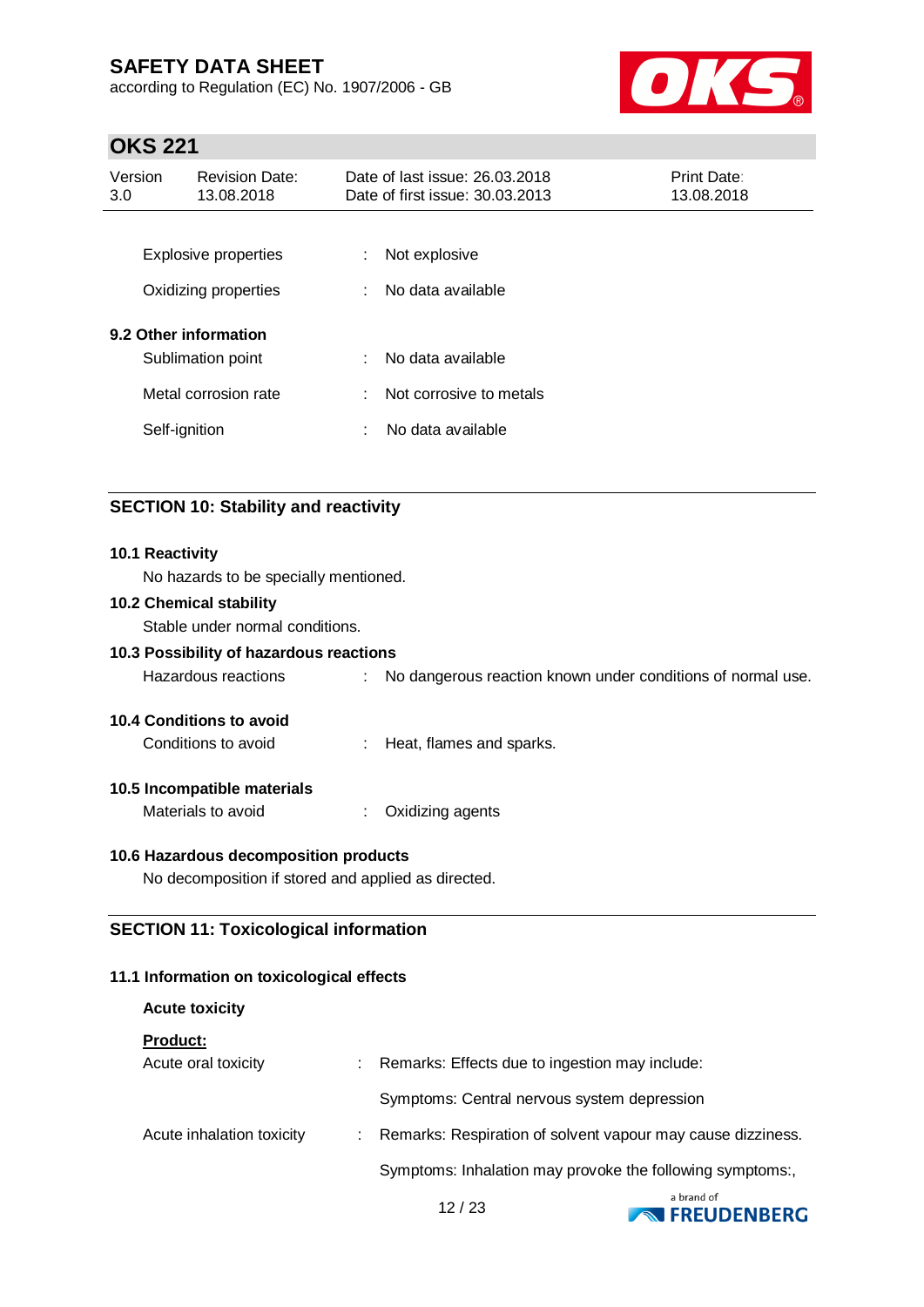according to Regulation (EC) No. 1907/2006 - GB



# **OKS 221**

| Version<br>3.0                             | <b>Revision Date:</b><br>13.08.2018                 |        | Date of last issue: 26,03,2018<br>Date of first issue: 30.03.2013 | Print Date:<br>13.08.2018 |
|--------------------------------------------|-----------------------------------------------------|--------|-------------------------------------------------------------------|---------------------------|
|                                            | <b>Explosive properties</b><br>Oxidizing properties | ÷<br>÷ | Not explosive<br>No data available                                |                           |
| 9.2 Other information<br>Sublimation point |                                                     | ÷.     | No data available                                                 |                           |
|                                            | Metal corrosion rate                                | ÷      | Not corrosive to metals                                           |                           |
|                                            | Self-ignition                                       | ÷      | No data available                                                 |                           |

## **SECTION 10: Stability and reactivity**

| 10.1 Reactivity<br>No hazards to be specially mentioned. |                                                                   |
|----------------------------------------------------------|-------------------------------------------------------------------|
| <b>10.2 Chemical stability</b>                           |                                                                   |
| Stable under normal conditions.                          |                                                                   |
| 10.3 Possibility of hazardous reactions                  |                                                                   |
| Hazardous reactions                                      | No dangerous reaction known under conditions of normal use.<br>÷. |
| <b>10.4 Conditions to avoid</b>                          |                                                                   |
| Conditions to avoid                                      | : Heat, flames and sparks.                                        |
| 10.5 Incompatible materials                              |                                                                   |
| Materials to avoid                                       | Oxidizing agents                                                  |
| 10.6 Hazardous decomposition products                    |                                                                   |
| No decomposition if stored and applied as directed.      |                                                                   |

### **SECTION 11: Toxicological information**

### **11.1 Information on toxicological effects**

| <b>Acute toxicity</b>     |                                                             |
|---------------------------|-------------------------------------------------------------|
| <b>Product:</b>           |                                                             |
| Acute oral toxicity       | Remarks: Effects due to ingestion may include:              |
|                           | Symptoms: Central nervous system depression                 |
| Acute inhalation toxicity | Remarks: Respiration of solvent vapour may cause dizziness. |
|                           | Symptoms: Inhalation may provoke the following symptoms:,   |

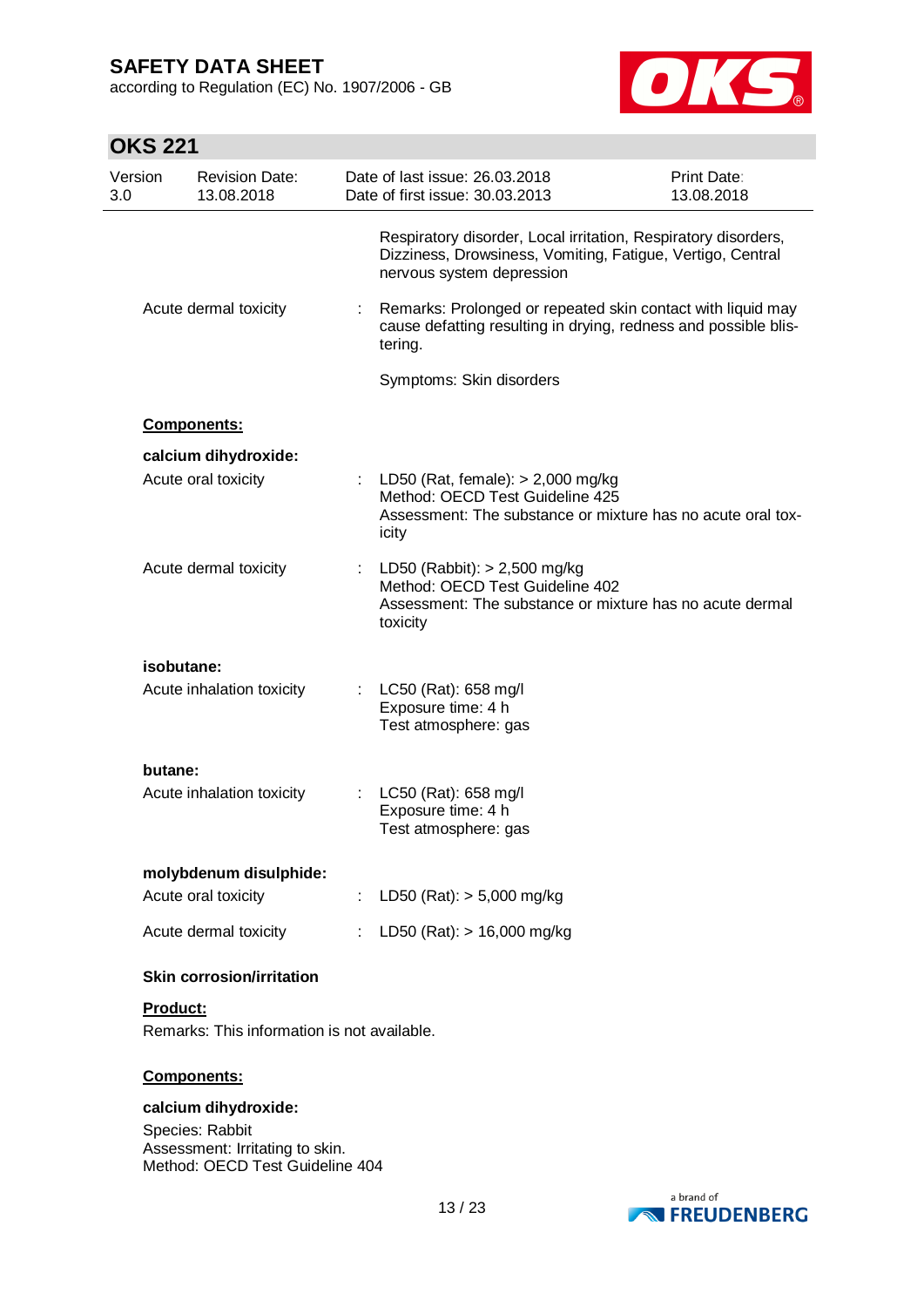according to Regulation (EC) No. 1907/2006 - GB



# **OKS 221**

| Version<br>3.0 | <b>Revision Date:</b><br>13.08.2018         |   | Date of last issue: 26.03.2018<br>Date of first issue: 30.03.2013                                                                                         | <b>Print Date:</b><br>13.08.2018 |
|----------------|---------------------------------------------|---|-----------------------------------------------------------------------------------------------------------------------------------------------------------|----------------------------------|
|                |                                             |   | Respiratory disorder, Local irritation, Respiratory disorders,<br>Dizziness, Drowsiness, Vomiting, Fatigue, Vertigo, Central<br>nervous system depression |                                  |
|                | Acute dermal toxicity                       | ÷ | Remarks: Prolonged or repeated skin contact with liquid may<br>cause defatting resulting in drying, redness and possible blis-<br>tering.                 |                                  |
|                |                                             |   | Symptoms: Skin disorders                                                                                                                                  |                                  |
|                | Components:                                 |   |                                                                                                                                                           |                                  |
|                |                                             |   |                                                                                                                                                           |                                  |
|                | calcium dihydroxide:<br>Acute oral toxicity |   | LD50 (Rat, female): $> 2,000$ mg/kg<br>Method: OECD Test Guideline 425<br>Assessment: The substance or mixture has no acute oral tox-<br>icity            |                                  |
|                | Acute dermal toxicity                       | ÷ | LD50 (Rabbit): $> 2,500$ mg/kg<br>Method: OECD Test Guideline 402<br>Assessment: The substance or mixture has no acute dermal<br>toxicity                 |                                  |
|                | isobutane:                                  |   |                                                                                                                                                           |                                  |
|                | Acute inhalation toxicity                   |   | LC50 (Rat): 658 mg/l<br>Exposure time: 4 h<br>Test atmosphere: gas                                                                                        |                                  |
| butane:        |                                             |   |                                                                                                                                                           |                                  |
|                | Acute inhalation toxicity                   |   | LC50 (Rat): 658 mg/l<br>Exposure time: 4 h<br>Test atmosphere: gas                                                                                        |                                  |
|                | molybdenum disulphide:                      |   |                                                                                                                                                           |                                  |
|                | Acute oral toxicity                         |   | : LD50 (Rat): $> 5,000$ mg/kg                                                                                                                             |                                  |
|                | Acute dermal toxicity                       |   | : LD50 (Rat): $> 16,000$ mg/kg                                                                                                                            |                                  |
|                | <b>Skin corrosion/irritation</b>            |   |                                                                                                                                                           |                                  |
| Product:       |                                             |   |                                                                                                                                                           |                                  |
|                | Remarks: This information is not available. |   |                                                                                                                                                           |                                  |
|                | Components:                                 |   |                                                                                                                                                           |                                  |
|                | calcium dihydroxide:                        |   |                                                                                                                                                           |                                  |

Species: Rabbit Assessment: Irritating to skin. Method: OECD Test Guideline 404

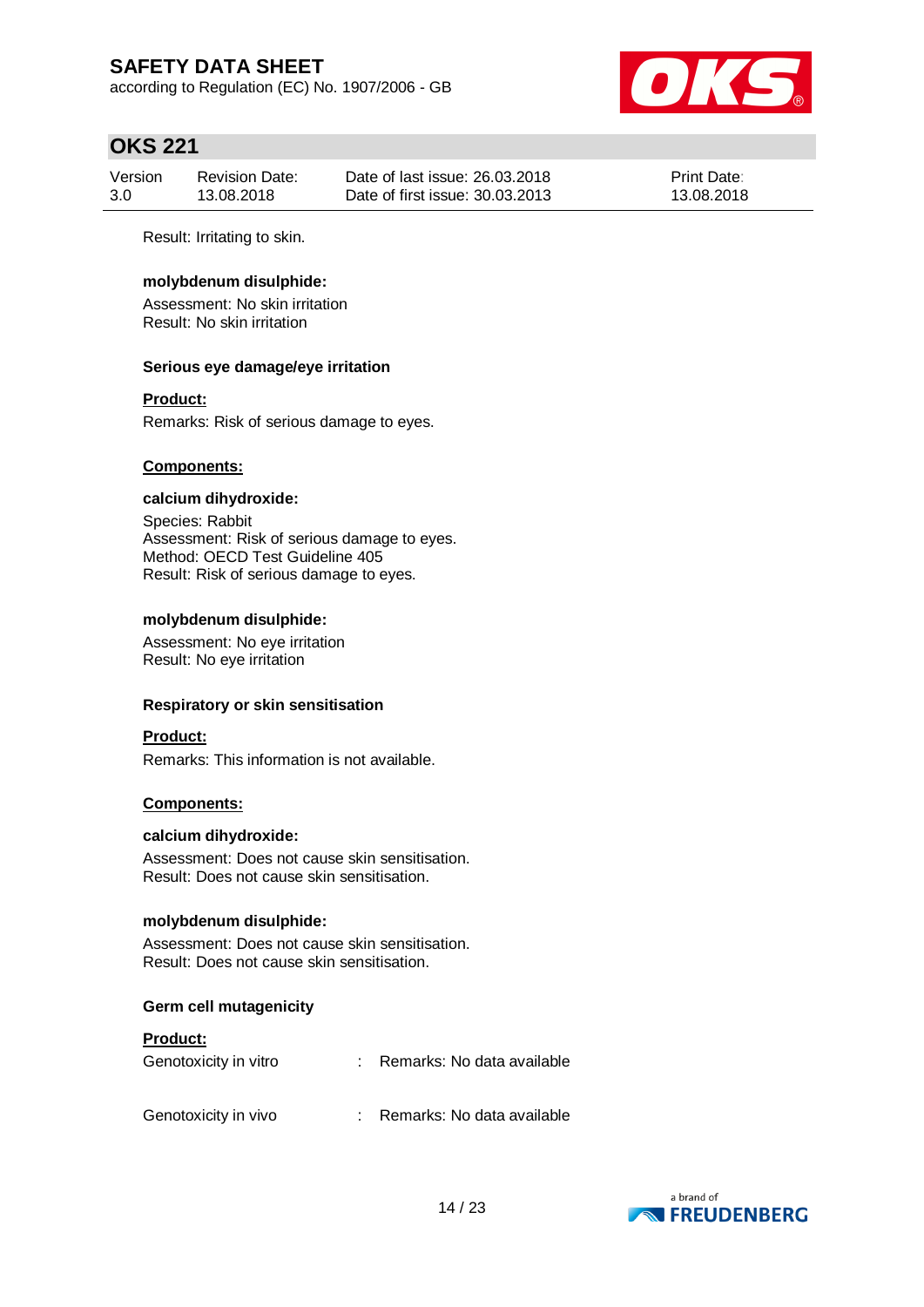according to Regulation (EC) No. 1907/2006 - GB



## **OKS 221**

| Version | <b>Revision Date:</b> | Date of last issue: 26.03.2018  | <b>Print Date:</b> |
|---------|-----------------------|---------------------------------|--------------------|
| 3.0     | 13.08.2018            | Date of first issue: 30.03.2013 | 13.08.2018         |

Result: Irritating to skin.

### **molybdenum disulphide:**

Assessment: No skin irritation Result: No skin irritation

#### **Serious eye damage/eye irritation**

#### **Product:**

Remarks: Risk of serious damage to eyes.

#### **Components:**

#### **calcium dihydroxide:**

Species: Rabbit Assessment: Risk of serious damage to eyes. Method: OECD Test Guideline 405 Result: Risk of serious damage to eyes.

#### **molybdenum disulphide:**

Assessment: No eye irritation Result: No eye irritation

#### **Respiratory or skin sensitisation**

#### **Product:**

Remarks: This information is not available.

#### **Components:**

#### **calcium dihydroxide:**

Assessment: Does not cause skin sensitisation. Result: Does not cause skin sensitisation.

#### **molybdenum disulphide:**

Assessment: Does not cause skin sensitisation. Result: Does not cause skin sensitisation.

#### **Germ cell mutagenicity**

#### **Product:**

| Genotoxicity in vitro | Remarks: No data available |
|-----------------------|----------------------------|
| Genotoxicity in vivo  | Remarks: No data available |

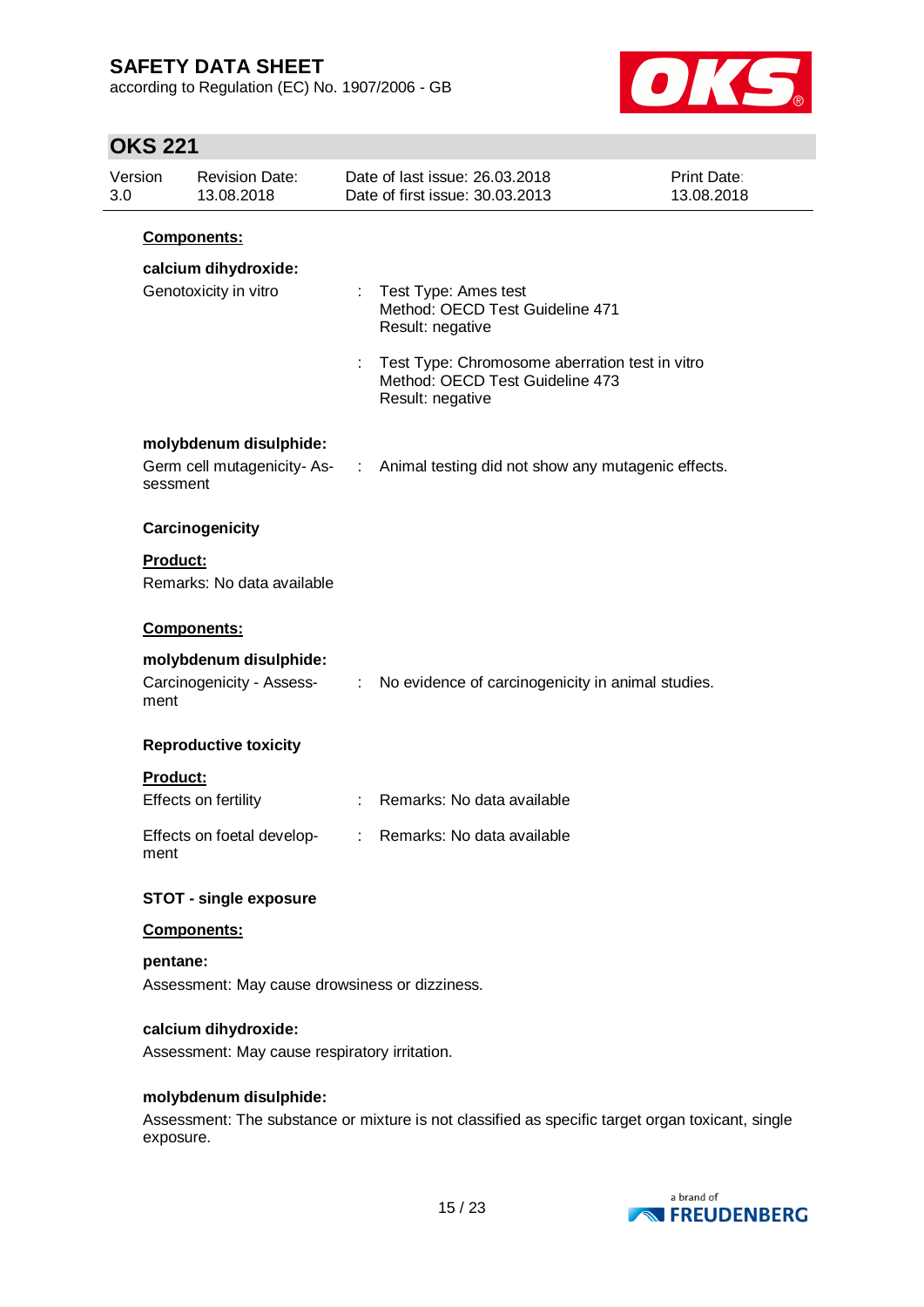according to Regulation (EC) No. 1907/2006 - GB



# **OKS 221**

| Version<br>3.0 | <b>Revision Date:</b><br>13.08.2018                                   |                | Date of last issue: 26.03.2018<br>Date of first issue: 30.03.2013                                       | <b>Print Date:</b><br>13.08.2018 |
|----------------|-----------------------------------------------------------------------|----------------|---------------------------------------------------------------------------------------------------------|----------------------------------|
|                | Components:                                                           |                |                                                                                                         |                                  |
|                | calcium dihydroxide:                                                  |                |                                                                                                         |                                  |
|                | Genotoxicity in vitro                                                 |                | : Test Type: Ames test<br>Method: OECD Test Guideline 471<br>Result: negative                           |                                  |
|                |                                                                       |                | : Test Type: Chromosome aberration test in vitro<br>Method: OECD Test Guideline 473<br>Result: negative |                                  |
|                | molybdenum disulphide:                                                |                |                                                                                                         |                                  |
|                | sessment                                                              |                | Germ cell mutagenicity- As- : Animal testing did not show any mutagenic effects.                        |                                  |
|                | Carcinogenicity                                                       |                |                                                                                                         |                                  |
|                | <b>Product:</b>                                                       |                |                                                                                                         |                                  |
|                | Remarks: No data available                                            |                |                                                                                                         |                                  |
|                | Components:                                                           |                |                                                                                                         |                                  |
|                | molybdenum disulphide:<br>Carcinogenicity - Assess-<br>ment           |                | : No evidence of carcinogenicity in animal studies.                                                     |                                  |
|                | <b>Reproductive toxicity</b>                                          |                |                                                                                                         |                                  |
|                | Product:                                                              |                |                                                                                                         |                                  |
|                | Effects on fertility                                                  |                | : Remarks: No data available                                                                            |                                  |
|                | Effects on foetal develop-<br>ment                                    | $\mathbb{R}^n$ | Remarks: No data available                                                                              |                                  |
|                | <b>STOT - single exposure</b>                                         |                |                                                                                                         |                                  |
|                | Components:                                                           |                |                                                                                                         |                                  |
|                | pentane:                                                              |                |                                                                                                         |                                  |
|                | Assessment: May cause drowsiness or dizziness.                        |                |                                                                                                         |                                  |
|                | calcium dihydroxide:<br>Assessment: May cause respiratory irritation. |                |                                                                                                         |                                  |
|                | molybdenum disulphide:                                                |                |                                                                                                         |                                  |
|                | exposure.                                                             |                | Assessment: The substance or mixture is not classified as specific target organ toxicant, single        |                                  |

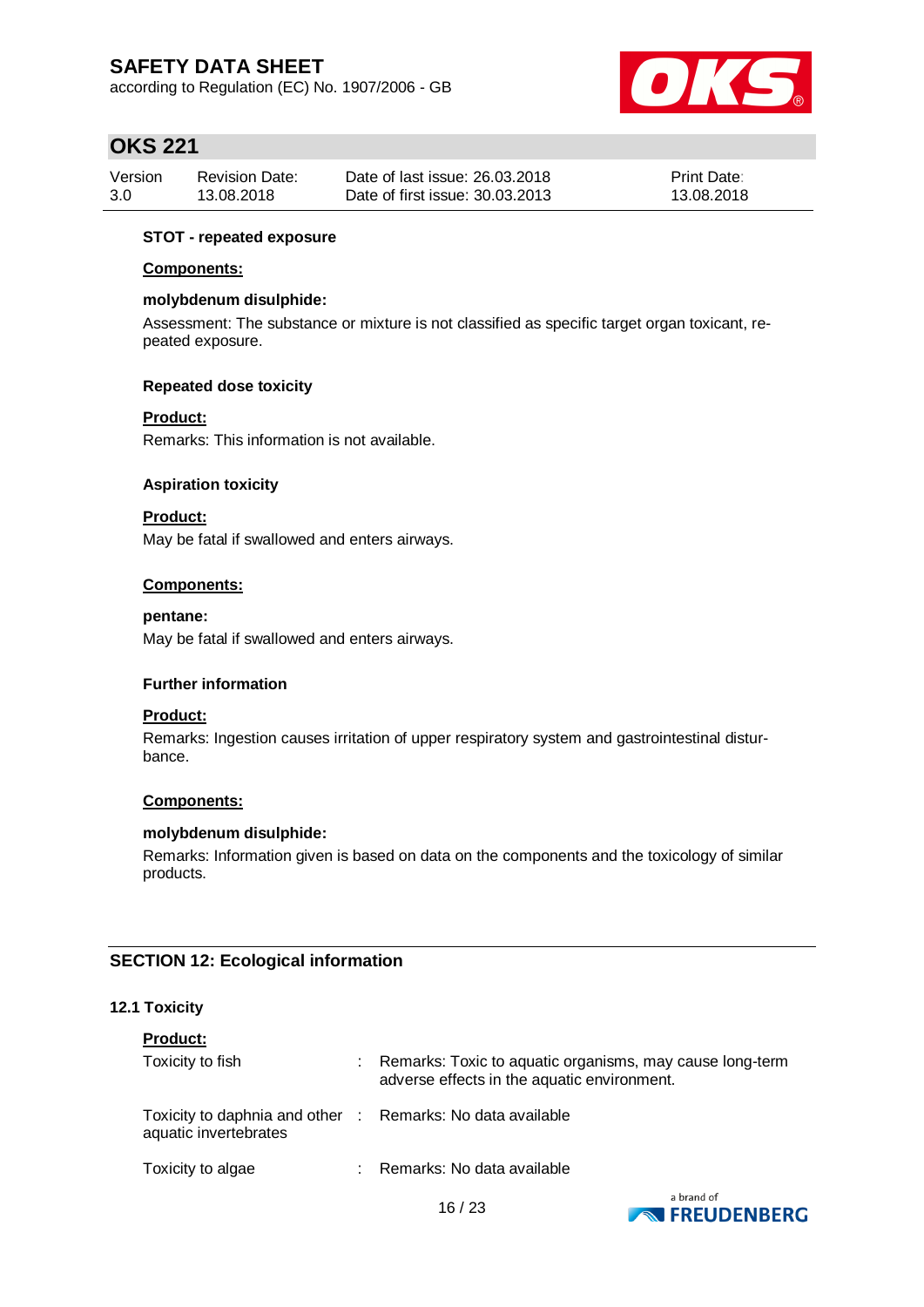according to Regulation (EC) No. 1907/2006 - GB



## **OKS 221**

| Version | <b>Revision Date:</b> | Date of last issue: 26.03.2018  | <b>Print Date:</b> |
|---------|-----------------------|---------------------------------|--------------------|
| 3.0     | 13.08.2018            | Date of first issue: 30.03.2013 | 13.08.2018         |

#### **STOT - repeated exposure**

#### **Components:**

#### **molybdenum disulphide:**

Assessment: The substance or mixture is not classified as specific target organ toxicant, repeated exposure.

#### **Repeated dose toxicity**

#### **Product:**

Remarks: This information is not available.

#### **Aspiration toxicity**

### **Product:**

May be fatal if swallowed and enters airways.

#### **Components:**

#### **pentane:**

May be fatal if swallowed and enters airways.

#### **Further information**

### **Product:**

Remarks: Ingestion causes irritation of upper respiratory system and gastrointestinal disturbance.

#### **Components:**

#### **molybdenum disulphide:**

Remarks: Information given is based on data on the components and the toxicology of similar products.

### **SECTION 12: Ecological information**

#### **12.1 Toxicity**

| <b>Product:</b>                                                                     |                                                                                                         |
|-------------------------------------------------------------------------------------|---------------------------------------------------------------------------------------------------------|
| Toxicity to fish                                                                    | Remarks: Toxic to aquatic organisms, may cause long-term<br>adverse effects in the aquatic environment. |
| Toxicity to daphnia and other : Remarks: No data available<br>aquatic invertebrates |                                                                                                         |
| Toxicity to algae                                                                   | Remarks: No data available                                                                              |

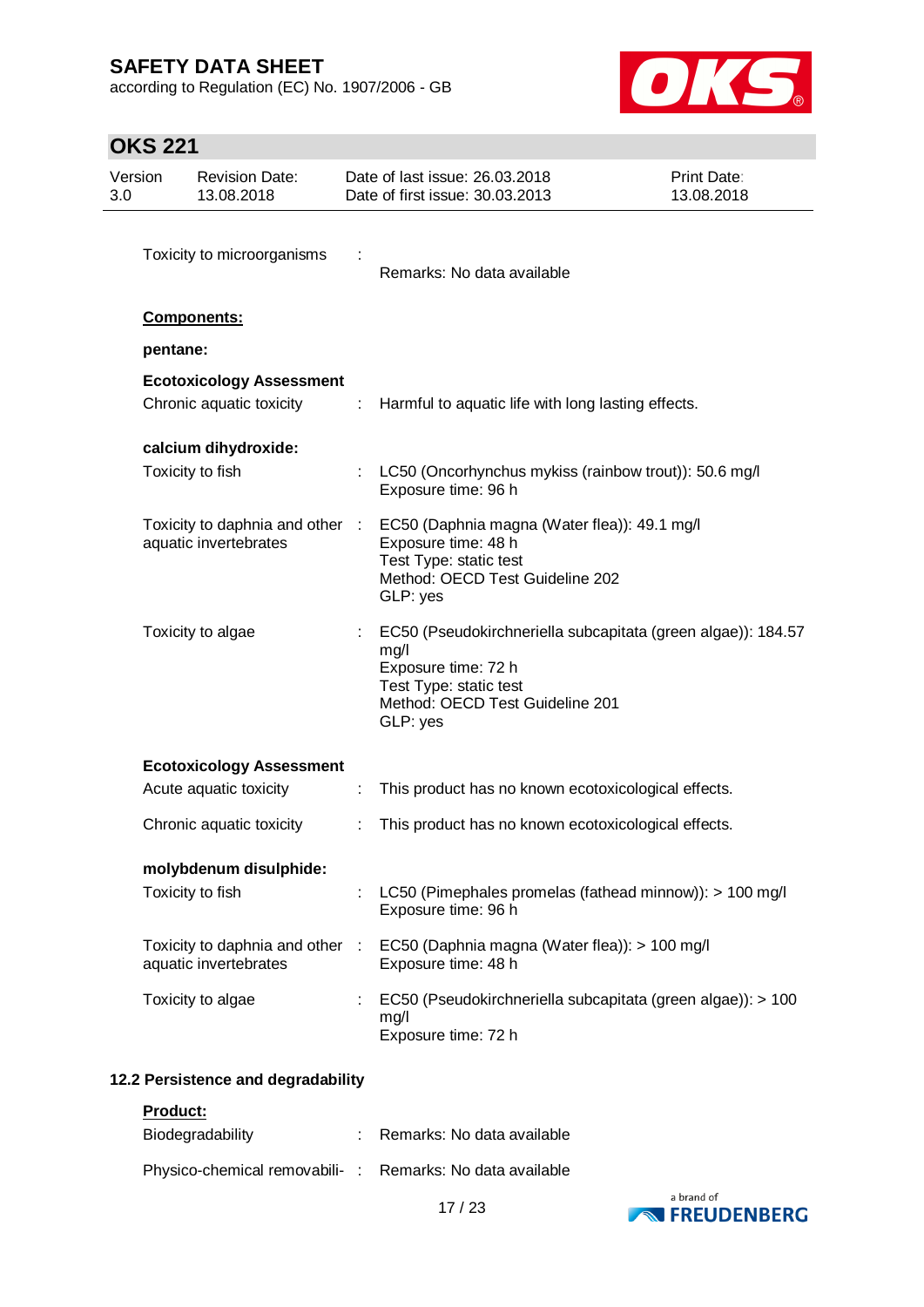according to Regulation (EC) No. 1907/2006 - GB



# **OKS 221**

| Version<br>3.0 |          | <b>Revision Date:</b><br>13.08.2018                         |                             | Date of last issue: 26.03.2018<br>Date of first issue: 30.03.2013                                                                                                    | <b>Print Date:</b><br>13.08.2018 |
|----------------|----------|-------------------------------------------------------------|-----------------------------|----------------------------------------------------------------------------------------------------------------------------------------------------------------------|----------------------------------|
|                |          | Toxicity to microorganisms                                  |                             | Remarks: No data available                                                                                                                                           |                                  |
|                |          | <b>Components:</b>                                          |                             |                                                                                                                                                                      |                                  |
|                | pentane: |                                                             |                             |                                                                                                                                                                      |                                  |
|                |          | <b>Ecotoxicology Assessment</b><br>Chronic aquatic toxicity | $\mathcal{I}^{\mathcal{I}}$ | Harmful to aquatic life with long lasting effects.                                                                                                                   |                                  |
|                |          | calcium dihydroxide:                                        |                             |                                                                                                                                                                      |                                  |
|                |          | Toxicity to fish                                            |                             | LC50 (Oncorhynchus mykiss (rainbow trout)): 50.6 mg/l<br>Exposure time: 96 h                                                                                         |                                  |
|                |          | Toxicity to daphnia and other :<br>aquatic invertebrates    |                             | EC50 (Daphnia magna (Water flea)): 49.1 mg/l<br>Exposure time: 48 h<br>Test Type: static test<br>Method: OECD Test Guideline 202<br>GLP: yes                         |                                  |
|                |          | Toxicity to algae                                           |                             | EC50 (Pseudokirchneriella subcapitata (green algae)): 184.57<br>mg/l<br>Exposure time: 72 h<br>Test Type: static test<br>Method: OECD Test Guideline 201<br>GLP: yes |                                  |
|                |          | <b>Ecotoxicology Assessment</b>                             |                             |                                                                                                                                                                      |                                  |
|                |          | Acute aquatic toxicity                                      | ÷                           | This product has no known ecotoxicological effects.                                                                                                                  |                                  |
|                |          | Chronic aquatic toxicity                                    |                             | This product has no known ecotoxicological effects.                                                                                                                  |                                  |
|                |          | molybdenum disulphide:                                      |                             |                                                                                                                                                                      |                                  |
|                |          | Toxicity to fish                                            |                             | LC50 (Pimephales promelas (fathead minnow)): > 100 mg/l<br>Exposure time: 96 h                                                                                       |                                  |
|                |          | Toxicity to daphnia and other :<br>aquatic invertebrates    |                             | EC50 (Daphnia magna (Water flea)): > 100 mg/l<br>Exposure time: 48 h                                                                                                 |                                  |
|                |          | Toxicity to algae                                           |                             | EC50 (Pseudokirchneriella subcapitata (green algae)): > 100<br>mg/l<br>Exposure time: 72 h                                                                           |                                  |

## **12.2 Persistence and degradability**

**Product:**

| Biodegradability                                         | : Remarks: No data available |
|----------------------------------------------------------|------------------------------|
| Physico-chemical removabili-: Remarks: No data available |                              |

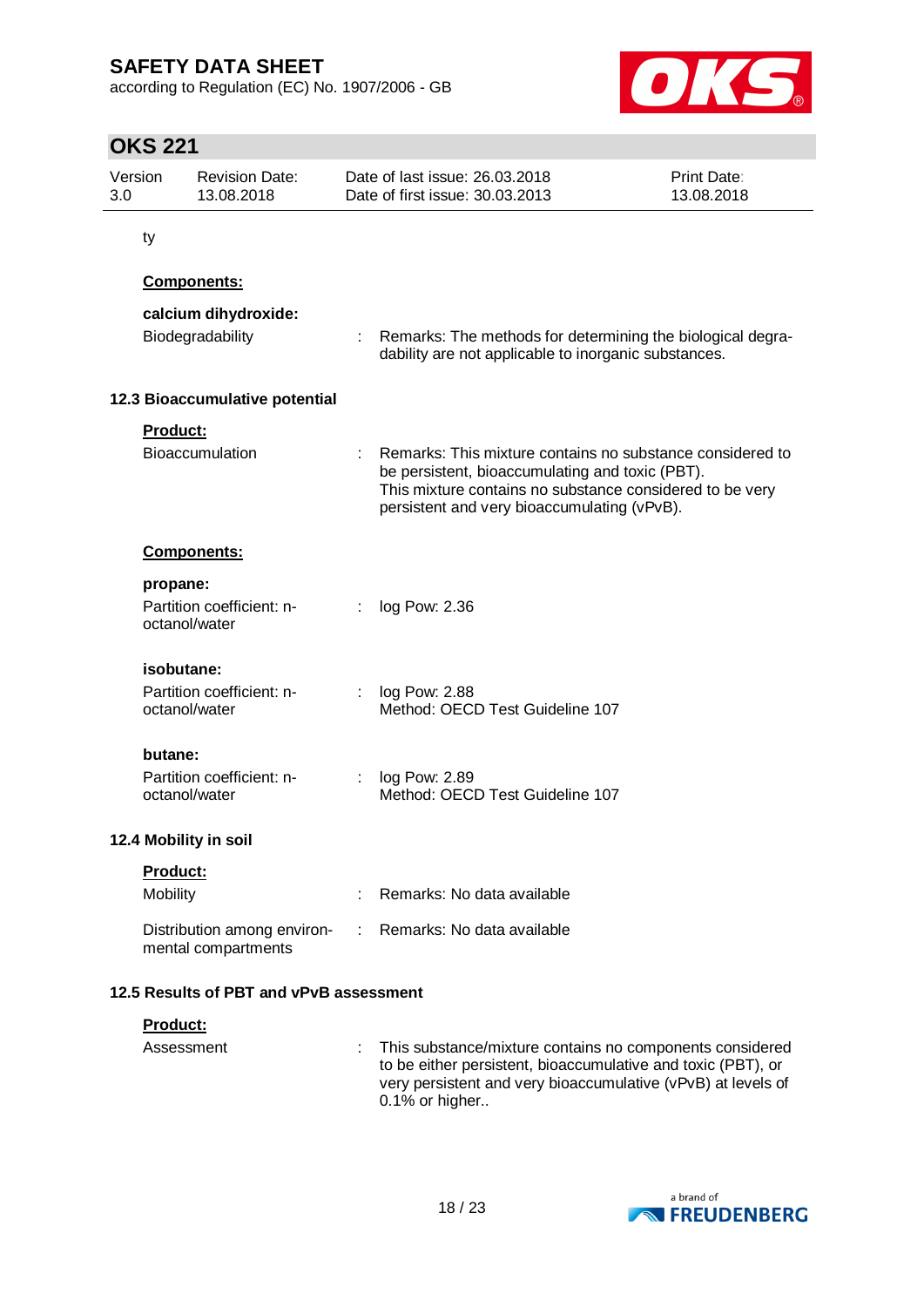according to Regulation (EC) No. 1907/2006 - GB



# **OKS 221**

| Version<br>3.0 |                 | <b>Revision Date:</b><br>13.08.2018                |   | Date of last issue: 26.03.2018<br>Date of first issue: 30.03.2013                                                                                                                                                       | Print Date:<br>13.08.2018 |
|----------------|-----------------|----------------------------------------------------|---|-------------------------------------------------------------------------------------------------------------------------------------------------------------------------------------------------------------------------|---------------------------|
|                | ty              |                                                    |   |                                                                                                                                                                                                                         |                           |
|                |                 | <b>Components:</b>                                 |   |                                                                                                                                                                                                                         |                           |
|                |                 | calcium dihydroxide:                               |   |                                                                                                                                                                                                                         |                           |
|                |                 | Biodegradability                                   |   | Remarks: The methods for determining the biological degra-<br>dability are not applicable to inorganic substances.                                                                                                      |                           |
|                |                 | 12.3 Bioaccumulative potential                     |   |                                                                                                                                                                                                                         |                           |
|                | <b>Product:</b> |                                                    |   |                                                                                                                                                                                                                         |                           |
|                |                 | Bioaccumulation                                    |   | Remarks: This mixture contains no substance considered to<br>be persistent, bioaccumulating and toxic (PBT).<br>This mixture contains no substance considered to be very<br>persistent and very bioaccumulating (vPvB). |                           |
|                |                 | <b>Components:</b>                                 |   |                                                                                                                                                                                                                         |                           |
|                | propane:        |                                                    |   |                                                                                                                                                                                                                         |                           |
|                |                 | Partition coefficient: n-<br>octanol/water         |   | log Pow: 2.36                                                                                                                                                                                                           |                           |
|                |                 | isobutane:                                         |   |                                                                                                                                                                                                                         |                           |
|                |                 | Partition coefficient: n-<br>octanol/water         | ÷ | log Pow: 2.88<br>Method: OECD Test Guideline 107                                                                                                                                                                        |                           |
|                | butane:         |                                                    |   |                                                                                                                                                                                                                         |                           |
|                |                 | Partition coefficient: n-<br>octanol/water         |   | log Pow: 2.89<br>Method: OECD Test Guideline 107                                                                                                                                                                        |                           |
|                |                 | 12.4 Mobility in soil                              |   |                                                                                                                                                                                                                         |                           |
|                | Product:        |                                                    |   |                                                                                                                                                                                                                         |                           |
|                | Mobility        |                                                    |   | Remarks: No data available                                                                                                                                                                                              |                           |
|                |                 | Distribution among environ-<br>mental compartments |   | Remarks: No data available                                                                                                                                                                                              |                           |
|                |                 | 12.5 Results of PBT and vPvB assessment            |   |                                                                                                                                                                                                                         |                           |
|                | Product:        |                                                    |   |                                                                                                                                                                                                                         |                           |
|                |                 | Assessment                                         |   | This substance/mixture contains no components considered<br>to be either persistent, bioaccumulative and toxic (PBT), or<br>very persistent and very bioaccumulative (vPvB) at levels of<br>0.1% or higher              |                           |

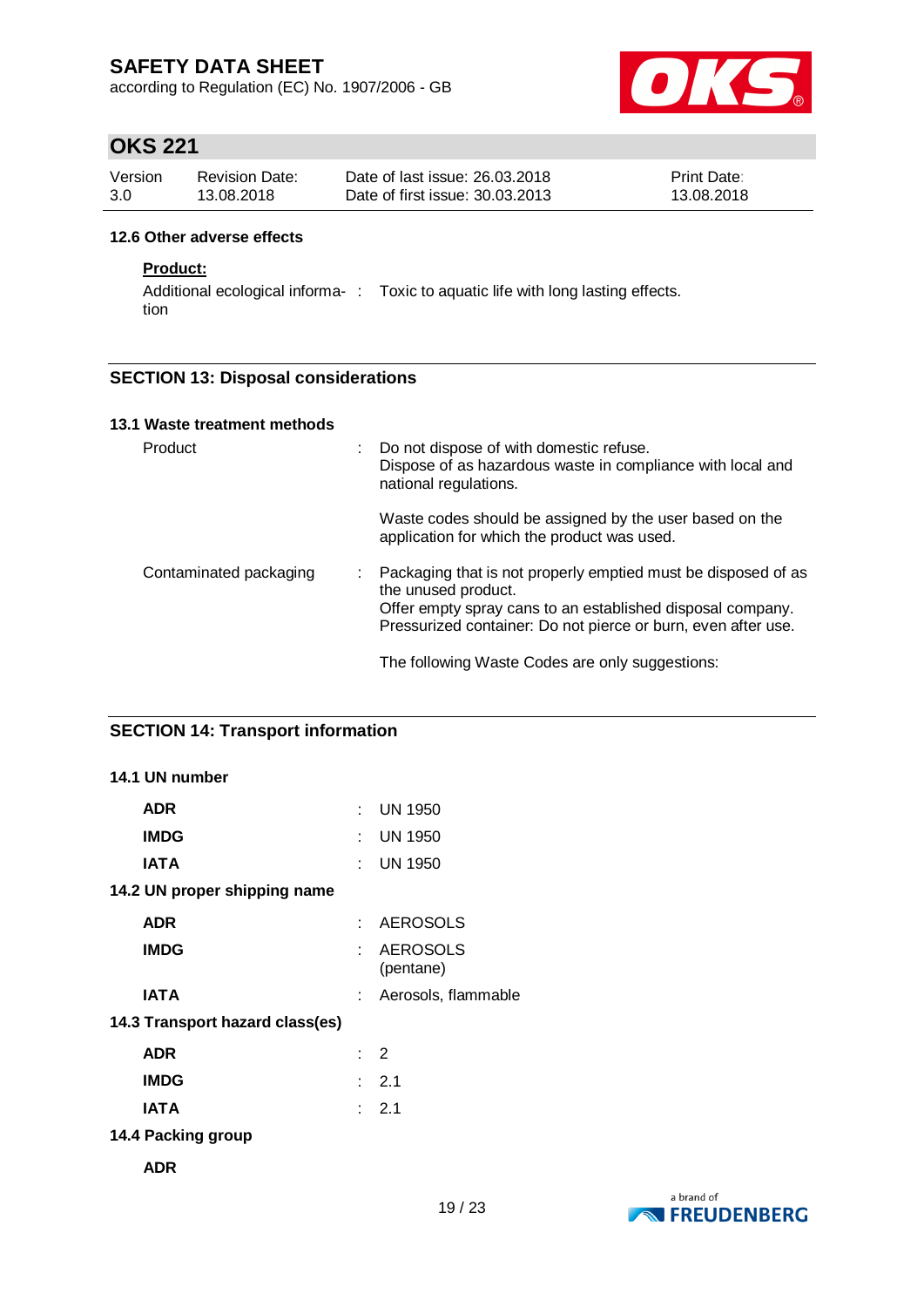according to Regulation (EC) No. 1907/2006 - GB



## **OKS 221**

| Version | <b>Revision Date:</b> | Date of last issue: 26.03.2018  | <b>Print Date:</b> |
|---------|-----------------------|---------------------------------|--------------------|
| 3.0     | 13.08.2018            | Date of first issue: 30.03.2013 | 13.08.2018         |

#### **12.6 Other adverse effects**

### **Product:**

Additional ecological informa- : Toxic to aquatic life with long lasting effects. tion

### **SECTION 13: Disposal considerations**

| 13.1 Waste treatment methods |  |                                                                                                                                                                                                                                                                        |
|------------------------------|--|------------------------------------------------------------------------------------------------------------------------------------------------------------------------------------------------------------------------------------------------------------------------|
| Product                      |  | Do not dispose of with domestic refuse.<br>Dispose of as hazardous waste in compliance with local and<br>national regulations.                                                                                                                                         |
|                              |  | Waste codes should be assigned by the user based on the<br>application for which the product was used.                                                                                                                                                                 |
| Contaminated packaging       |  | Packaging that is not properly emptied must be disposed of as<br>the unused product.<br>Offer empty spray cans to an established disposal company.<br>Pressurized container: Do not pierce or burn, even after use.<br>The following Waste Codes are only suggestions: |

### **SECTION 14: Transport information**

| 14.1 UN number                  |     |                              |
|---------------------------------|-----|------------------------------|
| <b>ADR</b>                      |     | : UN 1950                    |
| <b>IMDG</b>                     | ٠.  | <b>UN 1950</b>               |
| <b>IATA</b>                     | × 1 | <b>UN 1950</b>               |
| 14.2 UN proper shipping name    |     |                              |
| <b>ADR</b>                      | × 1 | <b>AEROSOLS</b>              |
| <b>IMDG</b>                     | t.  | <b>AEROSOLS</b><br>(pentane) |
| <b>IATA</b>                     |     | Aerosols, flammable          |
| 14.3 Transport hazard class(es) |     |                              |
| <b>ADR</b>                      |     | $\therefore$ 2               |
| <b>IMDG</b>                     |     | $\therefore$ 2.1             |
| <b>IATA</b>                     |     | $\therefore$ 2.1             |
| 14.4 Packing group              |     |                              |
|                                 |     |                              |

**ADR**

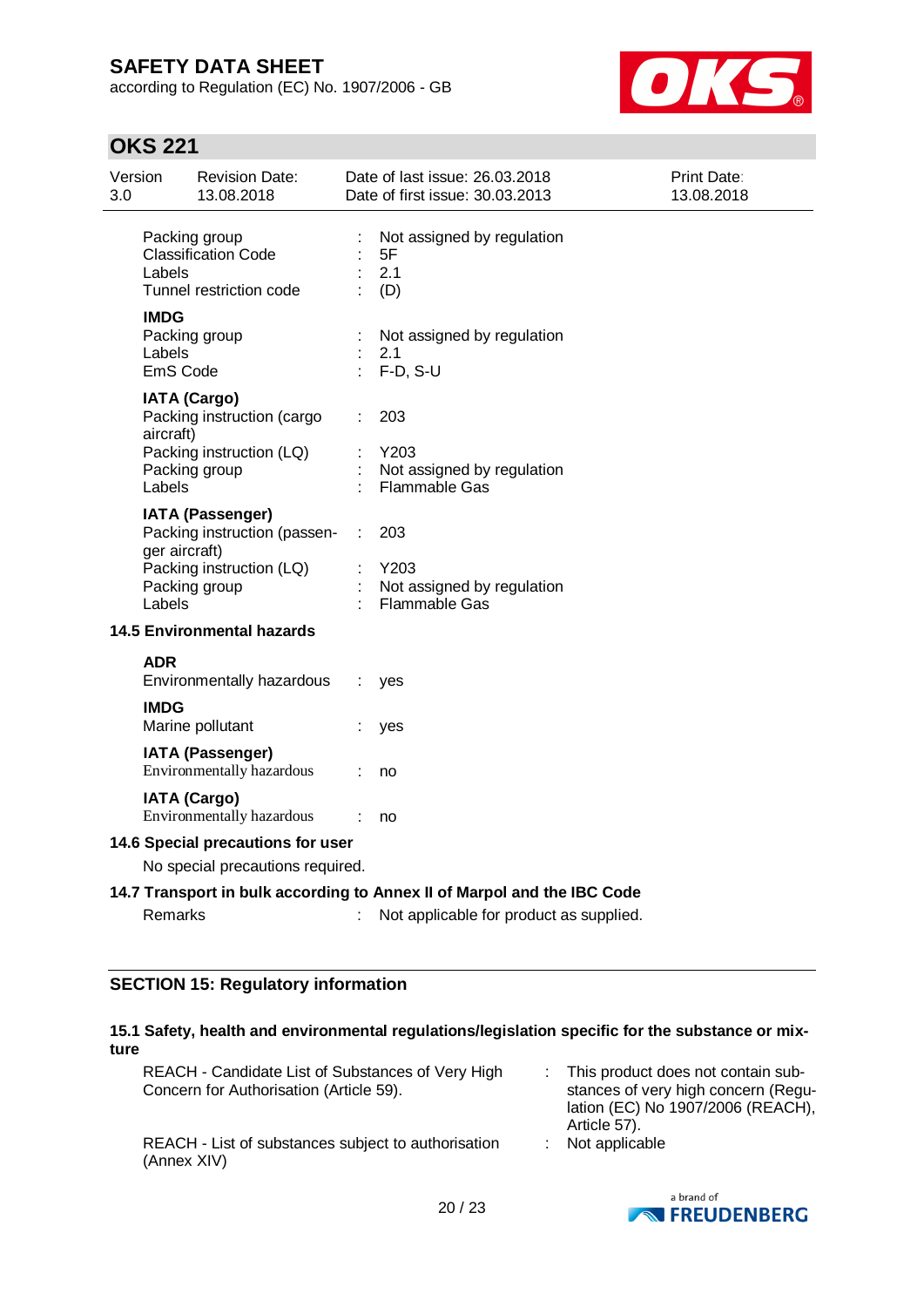according to Regulation (EC) No. 1907/2006 - GB



# **OKS 221**

| 3.0 | Version                           | <b>Revision Date:</b><br>13.08.2018                                                                  |    | Date of last issue: 26.03.2018<br>Date of first issue: 30.03.2013       | Print Date:<br>13.08.2018 |
|-----|-----------------------------------|------------------------------------------------------------------------------------------------------|----|-------------------------------------------------------------------------|---------------------------|
|     | Labels                            | Packing group<br><b>Classification Code</b><br>Tunnel restriction code                               |    | Not assigned by regulation<br>5F<br>2.1<br>(D)                          |                           |
|     | <b>IMDG</b><br>Labels<br>EmS Code | Packing group                                                                                        |    | Not assigned by regulation<br>2.1<br>$F-D, S-U$                         |                           |
|     | aircraft)<br>Labels               | <b>IATA (Cargo)</b><br>Packing instruction (cargo<br>Packing instruction (LQ)<br>Packing group       |    | 203<br>Y203<br>Not assigned by regulation<br>Flammable Gas              |                           |
|     | ger aircraft)<br>Labels           | <b>IATA (Passenger)</b><br>Packing instruction (passen-<br>Packing instruction (LQ)<br>Packing group |    | 203<br>Y203<br>Not assigned by regulation<br><b>Flammable Gas</b>       |                           |
|     |                                   | <b>14.5 Environmental hazards</b>                                                                    |    |                                                                         |                           |
|     | <b>ADR</b>                        | Environmentally hazardous                                                                            | ÷. | yes                                                                     |                           |
|     | <b>IMDG</b>                       | Marine pollutant                                                                                     |    | yes                                                                     |                           |
|     |                                   | <b>IATA (Passenger)</b><br>Environmentally hazardous                                                 |    | no                                                                      |                           |
|     |                                   | <b>IATA (Cargo)</b><br>Environmentally hazardous                                                     | ÷  | no                                                                      |                           |
|     |                                   | 14.6 Special precautions for user<br>No special precautions required.                                |    |                                                                         |                           |
|     |                                   |                                                                                                      |    | 14.7 Transport in bulk according to Annex II of Marpol and the IBC Code |                           |
|     | <b>Remarks</b>                    |                                                                                                      |    | Not applicable for product as supplied.                                 |                           |

### **SECTION 15: Regulatory information**

### **15.1 Safety, health and environmental regulations/legislation specific for the substance or mixture**

| REACH - Candidate List of Substances of Very High<br>Concern for Authorisation (Article 59). | : This product does not contain sub-<br>stances of very high concern (Regu-<br>lation (EC) No 1907/2006 (REACH),<br>Article 57). |
|----------------------------------------------------------------------------------------------|----------------------------------------------------------------------------------------------------------------------------------|
| REACH - List of substances subject to authorisation<br>(Annex XIV)                           | $:$ Not applicable                                                                                                               |

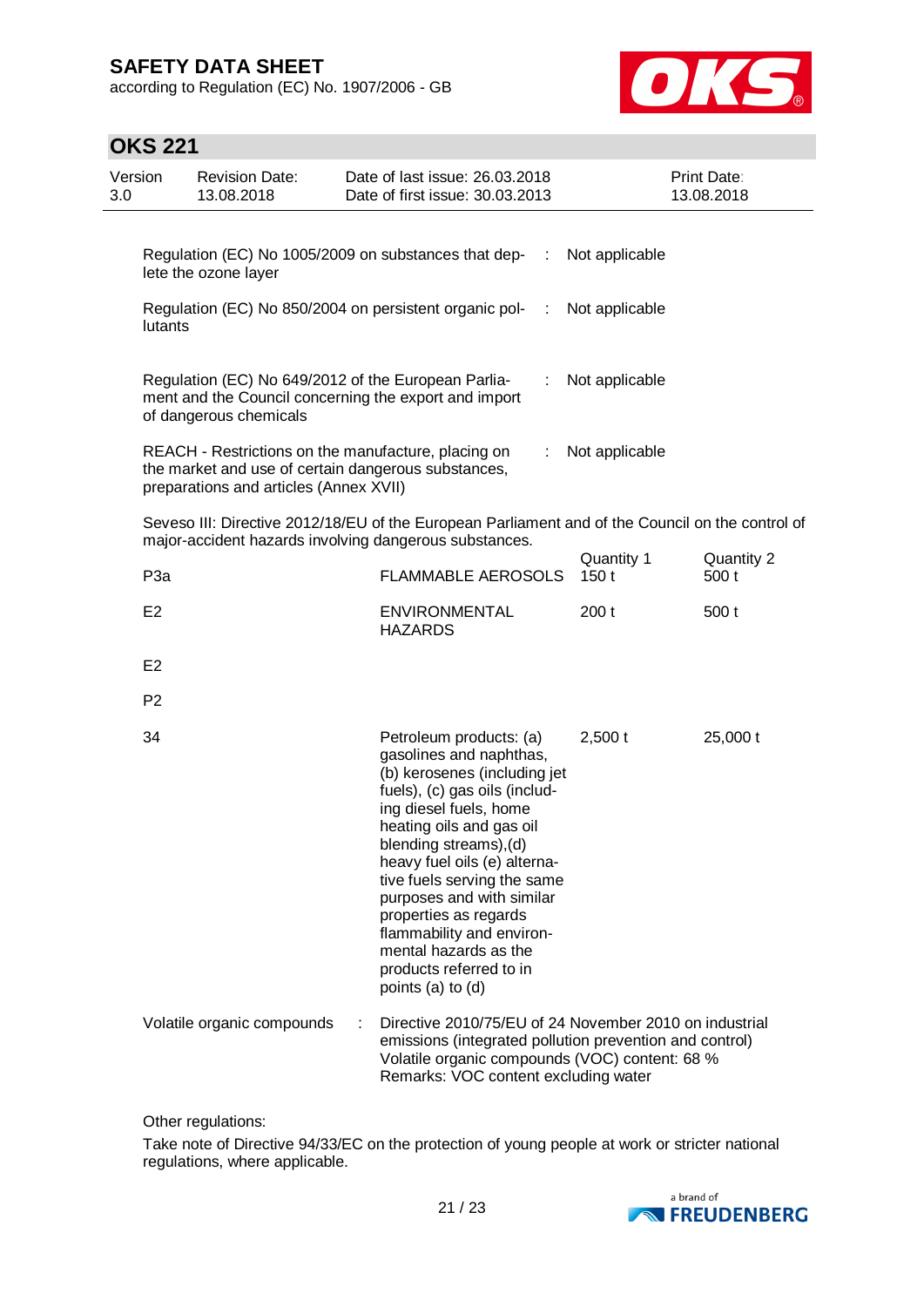according to Regulation (EC) No. 1907/2006 - GB



## **OKS 221**

| 3.0 | Version<br><b>Revision Date:</b><br>13.08.2018 |                                                                                                                                                      | Date of last issue: 26.03.2018<br>Date of first issue: 30.03.2013                                                                                                                                                                                                                                                                                                                                                              |                    | Print Date:<br>13.08.2018 |  |
|-----|------------------------------------------------|------------------------------------------------------------------------------------------------------------------------------------------------------|--------------------------------------------------------------------------------------------------------------------------------------------------------------------------------------------------------------------------------------------------------------------------------------------------------------------------------------------------------------------------------------------------------------------------------|--------------------|---------------------------|--|
|     |                                                | lete the ozone layer                                                                                                                                 | Regulation (EC) No 1005/2009 on substances that dep-<br>- 11                                                                                                                                                                                                                                                                                                                                                                   | Not applicable     |                           |  |
|     | lutants                                        |                                                                                                                                                      | Regulation (EC) No 850/2004 on persistent organic pol-<br>$\sim 10$                                                                                                                                                                                                                                                                                                                                                            | Not applicable     |                           |  |
|     |                                                | Regulation (EC) No 649/2012 of the European Parlia-<br>of dangerous chemicals                                                                        | ÷.<br>ment and the Council concerning the export and import                                                                                                                                                                                                                                                                                                                                                                    | Not applicable     |                           |  |
|     |                                                | REACH - Restrictions on the manufacture, placing on<br>the market and use of certain dangerous substances,<br>preparations and articles (Annex XVII) | ÷.                                                                                                                                                                                                                                                                                                                                                                                                                             | Not applicable     |                           |  |
|     |                                                |                                                                                                                                                      | Seveso III: Directive 2012/18/EU of the European Parliament and of the Council on the control of<br>major-accident hazards involving dangerous substances.                                                                                                                                                                                                                                                                     |                    |                           |  |
|     | P <sub>3a</sub>                                |                                                                                                                                                      | <b>FLAMMABLE AEROSOLS</b>                                                                                                                                                                                                                                                                                                                                                                                                      | Quantity 1<br>150t | Quantity 2<br>500 t       |  |
|     | E <sub>2</sub>                                 |                                                                                                                                                      | <b>ENVIRONMENTAL</b><br><b>HAZARDS</b>                                                                                                                                                                                                                                                                                                                                                                                         | 200t               | 500 t                     |  |
|     | E <sub>2</sub>                                 |                                                                                                                                                      |                                                                                                                                                                                                                                                                                                                                                                                                                                |                    |                           |  |
|     | P <sub>2</sub>                                 |                                                                                                                                                      |                                                                                                                                                                                                                                                                                                                                                                                                                                |                    |                           |  |
|     | 34                                             |                                                                                                                                                      | Petroleum products: (a)<br>gasolines and naphthas,<br>(b) kerosenes (including jet<br>fuels), (c) gas oils (includ-<br>ing diesel fuels, home<br>heating oils and gas oil<br>blending streams), (d)<br>heavy fuel oils (e) alterna-<br>tive fuels serving the same<br>purposes and with similar<br>properties as regards<br>flammability and environ-<br>mental hazards as the<br>products referred to in<br>points (a) to (d) | $2,500$ t          | 25,000 t                  |  |
|     |                                                | Volatile organic compounds                                                                                                                           | Directive 2010/75/EU of 24 November 2010 on industrial<br>emissions (integrated pollution prevention and control)<br>Volatile organic compounds (VOC) content: 68 %<br>Remarks: VOC content excluding water                                                                                                                                                                                                                    |                    |                           |  |

Other regulations:

Take note of Directive 94/33/EC on the protection of young people at work or stricter national regulations, where applicable.

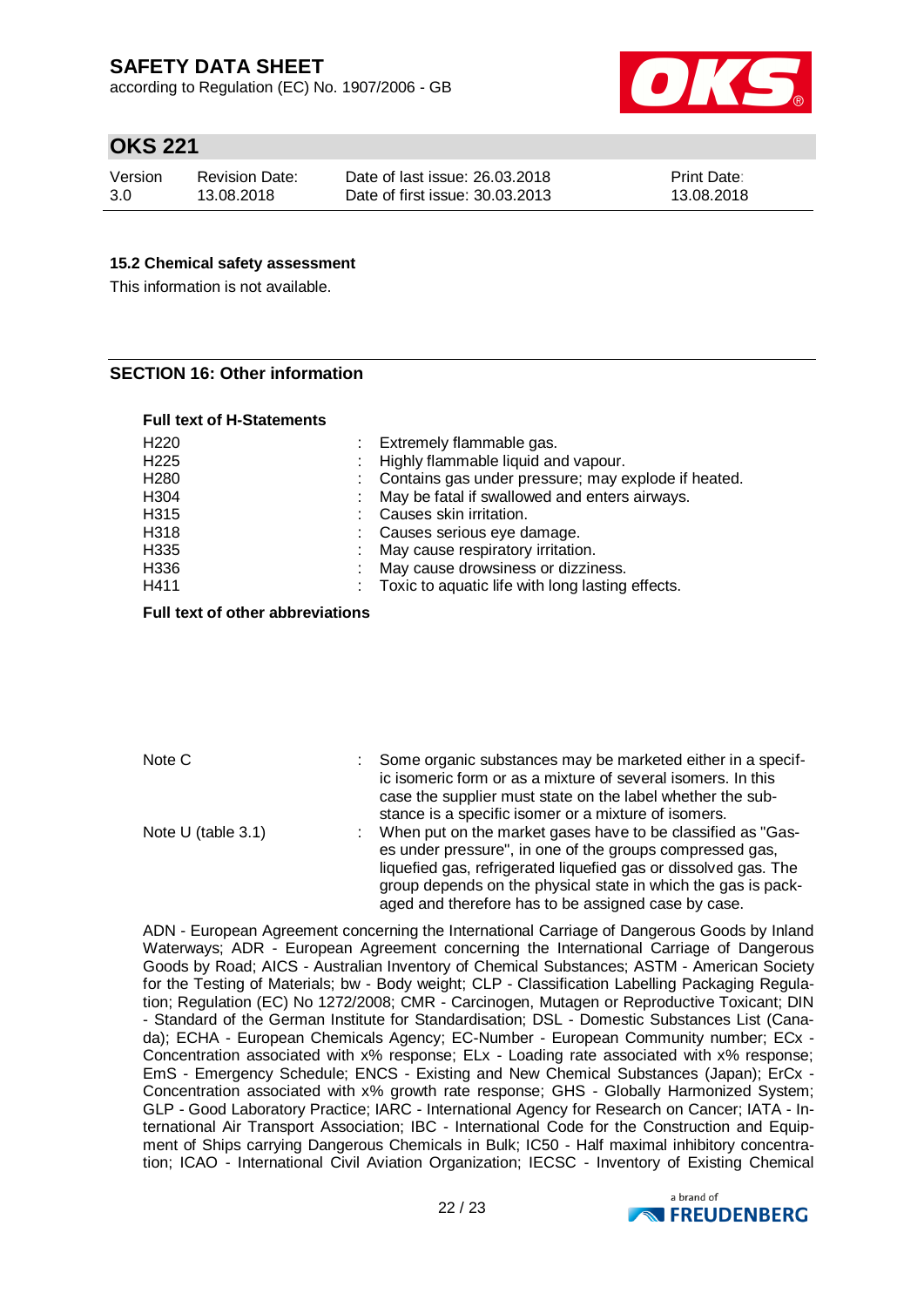according to Regulation (EC) No. 1907/2006 - GB



## **OKS 221**

| Version | <b>Revision Date:</b> | Date of last issue: 26.03.2018  | <b>Print Date:</b> |
|---------|-----------------------|---------------------------------|--------------------|
| 3.0     | 13.08.2018            | Date of first issue: 30.03.2013 | 13.08.2018         |

#### **15.2 Chemical safety assessment**

This information is not available.

#### **SECTION 16: Other information**

|  |  |  | <b>Full text of H-Statements</b> |  |
|--|--|--|----------------------------------|--|
|--|--|--|----------------------------------|--|

| H <sub>220</sub> | : Extremely flammable gas.                          |
|------------------|-----------------------------------------------------|
| H <sub>225</sub> | : Highly flammable liquid and vapour.               |
| H <sub>280</sub> | Contains gas under pressure; may explode if heated. |
| H <sub>304</sub> | : May be fatal if swallowed and enters airways.     |
| H315             | Causes skin irritation.                             |
| H318             | : Causes serious eye damage.                        |
| H335             | : May cause respiratory irritation.                 |
| H336             | May cause drowsiness or dizziness.                  |
| H411             | : Toxic to aquatic life with long lasting effects.  |

#### **Full text of other abbreviations**

| Note C             | Some organic substances may be marketed either in a specif-<br>ic isomeric form or as a mixture of several isomers. In this<br>case the supplier must state on the label whether the sub-                                                                |
|--------------------|----------------------------------------------------------------------------------------------------------------------------------------------------------------------------------------------------------------------------------------------------------|
| Note U (table 3.1) | stance is a specific isomer or a mixture of isomers.<br>When put on the market gases have to be classified as "Gas-<br>t.<br>es under pressure", in one of the groups compressed gas,<br>liquefied gas, refrigerated liquefied gas or dissolved gas. The |
|                    | group depends on the physical state in which the gas is pack-<br>aged and therefore has to be assigned case by case.                                                                                                                                     |

ADN - European Agreement concerning the International Carriage of Dangerous Goods by Inland Waterways; ADR - European Agreement concerning the International Carriage of Dangerous Goods by Road; AICS - Australian Inventory of Chemical Substances; ASTM - American Society for the Testing of Materials; bw - Body weight; CLP - Classification Labelling Packaging Regulation; Regulation (EC) No 1272/2008; CMR - Carcinogen, Mutagen or Reproductive Toxicant; DIN - Standard of the German Institute for Standardisation; DSL - Domestic Substances List (Canada); ECHA - European Chemicals Agency; EC-Number - European Community number; ECx - Concentration associated with x% response; ELx - Loading rate associated with x% response; EmS - Emergency Schedule; ENCS - Existing and New Chemical Substances (Japan); ErCx - Concentration associated with x% growth rate response; GHS - Globally Harmonized System; GLP - Good Laboratory Practice; IARC - International Agency for Research on Cancer; IATA - International Air Transport Association; IBC - International Code for the Construction and Equipment of Ships carrying Dangerous Chemicals in Bulk; IC50 - Half maximal inhibitory concentration; ICAO - International Civil Aviation Organization; IECSC - Inventory of Existing Chemical